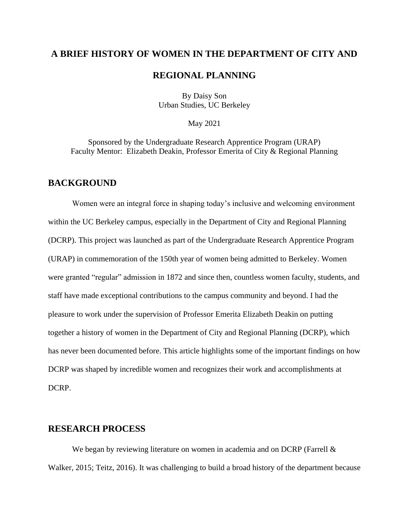## **A BRIEF HISTORY OF WOMEN IN THE DEPARTMENT OF CITY AND**

#### **REGIONAL PLANNING**

By Daisy Son Urban Studies, UC Berkeley

#### May 2021

Sponsored by the Undergraduate Research Apprentice Program (URAP) Faculty Mentor: Elizabeth Deakin, Professor Emerita of City & Regional Planning

#### **BACKGROUND**

Women were an integral force in shaping today's inclusive and welcoming environment within the UC Berkeley campus, especially in the Department of City and Regional Planning (DCRP). This project was launched as part of the Undergraduate Research Apprentice Program (URAP) in commemoration of the 150th year of women being admitted to Berkeley. Women were granted "regular" admission in 1872 and since then, countless women faculty, students, and staff have made exceptional contributions to the campus community and beyond. I had the pleasure to work under the supervision of Professor Emerita Elizabeth Deakin on putting together a history of women in the Department of City and Regional Planning (DCRP), which has never been documented before. This article highlights some of the important findings on how DCRP was shaped by incredible women and recognizes their work and accomplishments at DCRP.

#### **RESEARCH PROCESS**

We began by reviewing literature on women in academia and on DCRP (Farrell & Walker, 2015; Teitz, 2016). It was challenging to build a broad history of the department because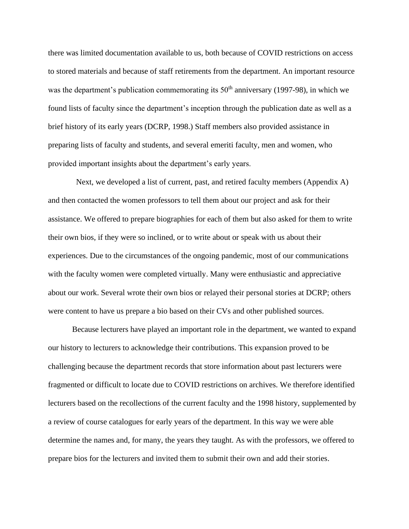there was limited documentation available to us, both because of COVID restrictions on access to stored materials and because of staff retirements from the department. An important resource was the department's publication commemorating its  $50<sup>th</sup>$  anniversary (1997-98), in which we found lists of faculty since the department's inception through the publication date as well as a brief history of its early years (DCRP, 1998.) Staff members also provided assistance in preparing lists of faculty and students, and several emeriti faculty, men and women, who provided important insights about the department's early years.

 Next, we developed a list of current, past, and retired faculty members (Appendix A) and then contacted the women professors to tell them about our project and ask for their assistance. We offered to prepare biographies for each of them but also asked for them to write their own bios, if they were so inclined, or to write about or speak with us about their experiences. Due to the circumstances of the ongoing pandemic, most of our communications with the faculty women were completed virtually. Many were enthusiastic and appreciative about our work. Several wrote their own bios or relayed their personal stories at DCRP; others were content to have us prepare a bio based on their CVs and other published sources.

Because lecturers have played an important role in the department, we wanted to expand our history to lecturers to acknowledge their contributions. This expansion proved to be challenging because the department records that store information about past lecturers were fragmented or difficult to locate due to COVID restrictions on archives. We therefore identified lecturers based on the recollections of the current faculty and the 1998 history, supplemented by a review of course catalogues for early years of the department. In this way we were able determine the names and, for many, the years they taught. As with the professors, we offered to prepare bios for the lecturers and invited them to submit their own and add their stories.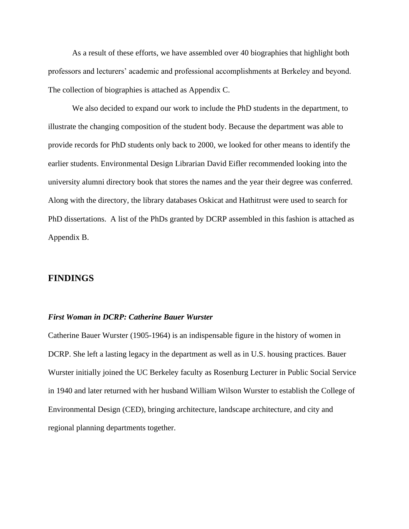As a result of these efforts, we have assembled over 40 biographies that highlight both professors and lecturers' academic and professional accomplishments at Berkeley and beyond. The collection of biographies is attached as Appendix C.

We also decided to expand our work to include the PhD students in the department, to illustrate the changing composition of the student body. Because the department was able to provide records for PhD students only back to 2000, we looked for other means to identify the earlier students. Environmental Design Librarian David Eifler recommended looking into the university alumni directory book that stores the names and the year their degree was conferred. Along with the directory, the library databases Oskicat and Hathitrust were used to search for PhD dissertations. A list of the PhDs granted by DCRP assembled in this fashion is attached as Appendix B.

#### **FINDINGS**

#### *First Woman in DCRP: Catherine Bauer Wurster*

Catherine Bauer Wurster (1905-1964) is an indispensable figure in the history of women in DCRP. She left a lasting legacy in the department as well as in U.S. housing practices. Bauer Wurster initially joined the UC Berkeley faculty as Rosenburg Lecturer in Public Social Service in 1940 and later returned with her husband William Wilson Wurster to establish the College of Environmental Design (CED), bringing architecture, landscape architecture, and city and regional planning departments together.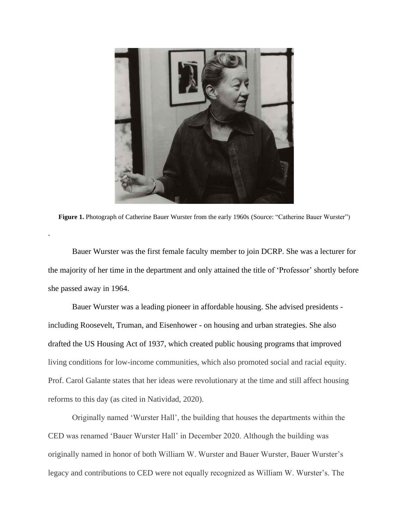

Figure 1. Photograph of Catherine Bauer Wurster from the early 1960s (Source: "Catherine Bauer Wurster")

.

Bauer Wurster was the first female faculty member to join DCRP. She was a lecturer for the majority of her time in the department and only attained the title of 'Professor' shortly before she passed away in 1964.

Bauer Wurster was a leading pioneer in affordable housing. She advised presidents including Roosevelt, Truman, and Eisenhower - on housing and urban strategies. She also drafted the US Housing Act of 1937, which created public housing programs that improved living conditions for low-income communities, which also promoted social and racial equity. Prof. Carol Galante states that her ideas were revolutionary at the time and still affect housing reforms to this day (as cited in Natividad, 2020).

Originally named 'Wurster Hall', the building that houses the departments within the CED was renamed 'Bauer Wurster Hall' in December 2020. Although the building was originally named in honor of both William W. Wurster and Bauer Wurster, Bauer Wurster's legacy and contributions to CED were not equally recognized as William W. Wurster's. The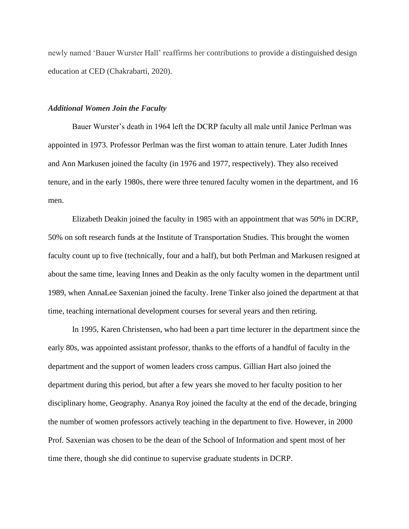newly named 'Bauer Wurster Hall' reaffirms her contributions to provide a distinguished design education at CED (Chakrabarti, 2020).

#### *Additional Women Join the Faculty*

Bauer Wurster's death in 1964 left the DCRP faculty all male until Janice Perlman was appointed in 1973. Professor Perlman was the first woman to attain tenure. Later Judith Innes and Ann Markusen joined the faculty (in 1976 and 1977, respectively). They also received tenure, and in the early 1980s, there were three tenured faculty women in the department, and 16 men.

Elizabeth Deakin joined the faculty in 1985 with an appointment that was 50% in DCRP, 50% on soft research funds at the Institute of Transportation Studies. This brought the women faculty count up to five (technically, four and a half), but both Perlman and Markusen resigned at about the same time, leaving Innes and Deakin as the only faculty women in the department until 1989, when AnnaLee Saxenian joined the faculty. Irene Tinker also joined the department at that time, teaching international development courses for several years and then retiring.

In 1995, Karen Christensen, who had been a part time lecturer in the department since the early 80s, was appointed assistant professor, thanks to the efforts of a handful of faculty in the department and the support of women leaders cross campus. Gillian Hart also joined the department during this period, but after a few years she moved to her faculty position to her disciplinary home, Geography. Ananya Roy joined the faculty at the end of the decade, bringing the number of women professors actively teaching in the department to five. However, in 2000 Prof. Saxenian was chosen to be the dean of the School of Information and spent most of her time there, though she did continue to supervise graduate students in DCRP.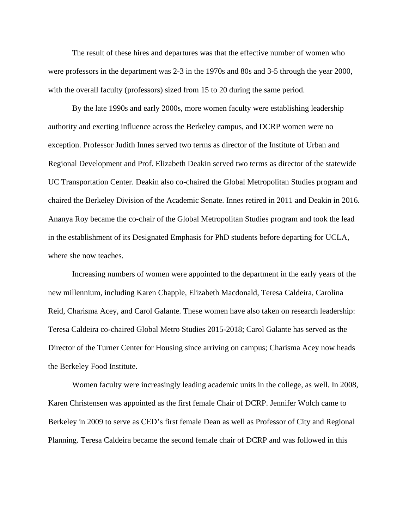The result of these hires and departures was that the effective number of women who were professors in the department was 2-3 in the 1970s and 80s and 3-5 through the year 2000, with the overall faculty (professors) sized from 15 to 20 during the same period.

By the late 1990s and early 2000s, more women faculty were establishing leadership authority and exerting influence across the Berkeley campus, and DCRP women were no exception. Professor Judith Innes served two terms as director of the Institute of Urban and Regional Development and Prof. Elizabeth Deakin served two terms as director of the statewide UC Transportation Center. Deakin also co-chaired the Global Metropolitan Studies program and chaired the Berkeley Division of the Academic Senate. Innes retired in 2011 and Deakin in 2016. Ananya Roy became the co-chair of the Global Metropolitan Studies program and took the lead in the establishment of its Designated Emphasis for PhD students before departing for UCLA, where she now teaches.

 Increasing numbers of women were appointed to the department in the early years of the new millennium, including Karen Chapple, Elizabeth Macdonald, Teresa Caldeira, Carolina Reid, Charisma Acey, and Carol Galante. These women have also taken on research leadership: Teresa Caldeira co-chaired Global Metro Studies 2015-2018; Carol Galante has served as the Director of the Turner Center for Housing since arriving on campus; Charisma Acey now heads the Berkeley Food Institute.

 Women faculty were increasingly leading academic units in the college, as well. In 2008, Karen Christensen was appointed as the first female Chair of DCRP. Jennifer Wolch came to Berkeley in 2009 to serve as CED's first female Dean as well as Professor of City and Regional Planning. Teresa Caldeira became the second female chair of DCRP and was followed in this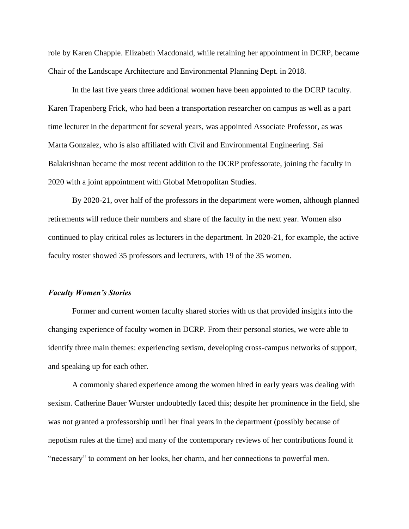role by Karen Chapple. Elizabeth Macdonald, while retaining her appointment in DCRP, became Chair of the Landscape Architecture and Environmental Planning Dept. in 2018.

In the last five years three additional women have been appointed to the DCRP faculty. Karen Trapenberg Frick, who had been a transportation researcher on campus as well as a part time lecturer in the department for several years, was appointed Associate Professor, as was Marta Gonzalez, who is also affiliated with Civil and Environmental Engineering. Sai Balakrishnan became the most recent addition to the DCRP professorate, joining the faculty in 2020 with a joint appointment with Global Metropolitan Studies.

By 2020-21, over half of the professors in the department were women, although planned retirements will reduce their numbers and share of the faculty in the next year. Women also continued to play critical roles as lecturers in the department. In 2020-21, for example, the active faculty roster showed 35 professors and lecturers, with 19 of the 35 women.

#### *Faculty Women's Stories*

Former and current women faculty shared stories with us that provided insights into the changing experience of faculty women in DCRP. From their personal stories, we were able to identify three main themes: experiencing sexism, developing cross-campus networks of support, and speaking up for each other.

A commonly shared experience among the women hired in early years was dealing with sexism. Catherine Bauer Wurster undoubtedly faced this; despite her prominence in the field, she was not granted a professorship until her final years in the department (possibly because of nepotism rules at the time) and many of the contemporary reviews of her contributions found it "necessary" to comment on her looks, her charm, and her connections to powerful men.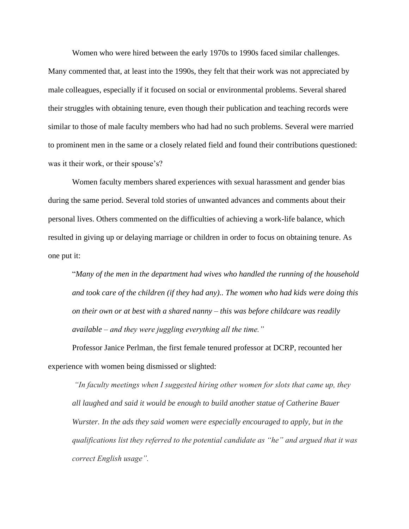Women who were hired between the early 1970s to 1990s faced similar challenges.

Many commented that, at least into the 1990s, they felt that their work was not appreciated by male colleagues, especially if it focused on social or environmental problems. Several shared their struggles with obtaining tenure, even though their publication and teaching records were similar to those of male faculty members who had had no such problems. Several were married to prominent men in the same or a closely related field and found their contributions questioned: was it their work, or their spouse's?

Women faculty members shared experiences with sexual harassment and gender bias during the same period. Several told stories of unwanted advances and comments about their personal lives. Others commented on the difficulties of achieving a work-life balance, which resulted in giving up or delaying marriage or children in order to focus on obtaining tenure. As one put it:

"*Many of the men in the department had wives who handled the running of the household and took care of the children (if they had any).. The women who had kids were doing this on their own or at best with a shared nanny – this was before childcare was readily available – and they were juggling everything all the time."*

Professor Janice Perlman, the first female tenured professor at DCRP, recounted her experience with women being dismissed or slighted:

*"In faculty meetings when I suggested hiring other women for slots that came up, they all laughed and said it would be enough to build another statue of Catherine Bauer Wurster. In the ads they said women were especially encouraged to apply, but in the qualifications list they referred to the potential candidate as "he" and argued that it was correct English usage".*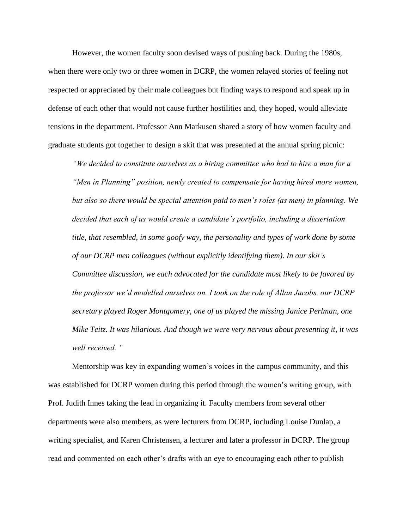However, the women faculty soon devised ways of pushing back. During the 1980s, when there were only two or three women in DCRP, the women relayed stories of feeling not respected or appreciated by their male colleagues but finding ways to respond and speak up in defense of each other that would not cause further hostilities and, they hoped, would alleviate tensions in the department. Professor Ann Markusen shared a story of how women faculty and graduate students got together to design a skit that was presented at the annual spring picnic:

*"We decided to constitute ourselves as a hiring committee who had to hire a man for a "Men in Planning" position, newly created to compensate for having hired more women, but also so there would be special attention paid to men's roles (as men) in planning. We decided that each of us would create a candidate's portfolio, including a dissertation title, that resembled, in some goofy way, the personality and types of work done by some of our DCRP men colleagues (without explicitly identifying them). In our skit's Committee discussion, we each advocated for the candidate most likely to be favored by the professor we'd modelled ourselves on. I took on the role of Allan Jacobs, our DCRP secretary played Roger Montgomery, one of us played the missing Janice Perlman, one Mike Teitz. It was hilarious. And though we were very nervous about presenting it, it was well received. "* 

Mentorship was key in expanding women's voices in the campus community, and this was established for DCRP women during this period through the women's writing group, with Prof. Judith Innes taking the lead in organizing it. Faculty members from several other departments were also members, as were lecturers from DCRP, including Louise Dunlap, a writing specialist, and Karen Christensen, a lecturer and later a professor in DCRP. The group read and commented on each other's drafts with an eye to encouraging each other to publish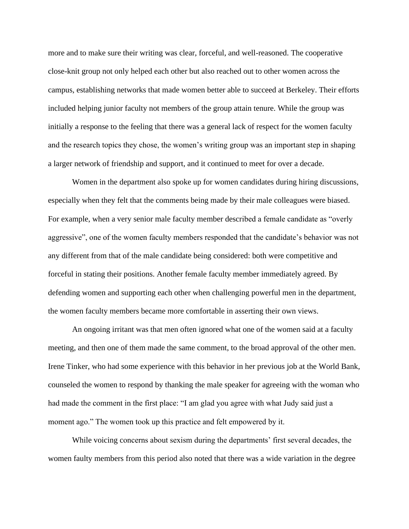more and to make sure their writing was clear, forceful, and well-reasoned. The cooperative close-knit group not only helped each other but also reached out to other women across the campus, establishing networks that made women better able to succeed at Berkeley. Their efforts included helping junior faculty not members of the group attain tenure. While the group was initially a response to the feeling that there was a general lack of respect for the women faculty and the research topics they chose, the women's writing group was an important step in shaping a larger network of friendship and support, and it continued to meet for over a decade.

Women in the department also spoke up for women candidates during hiring discussions, especially when they felt that the comments being made by their male colleagues were biased. For example, when a very senior male faculty member described a female candidate as "overly aggressive", one of the women faculty members responded that the candidate's behavior was not any different from that of the male candidate being considered: both were competitive and forceful in stating their positions. Another female faculty member immediately agreed. By defending women and supporting each other when challenging powerful men in the department, the women faculty members became more comfortable in asserting their own views.

An ongoing irritant was that men often ignored what one of the women said at a faculty meeting, and then one of them made the same comment, to the broad approval of the other men. Irene Tinker, who had some experience with this behavior in her previous job at the World Bank, counseled the women to respond by thanking the male speaker for agreeing with the woman who had made the comment in the first place: "I am glad you agree with what Judy said just a moment ago." The women took up this practice and felt empowered by it.

While voicing concerns about sexism during the departments' first several decades, the women faulty members from this period also noted that there was a wide variation in the degree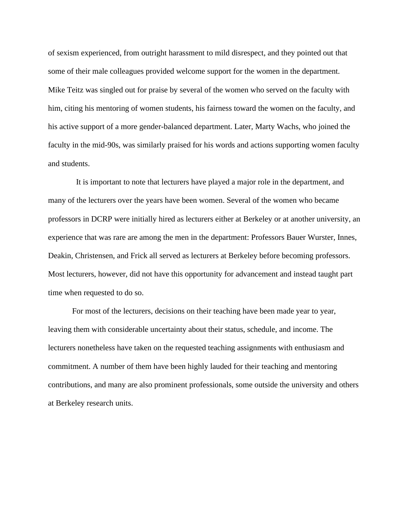of sexism experienced, from outright harassment to mild disrespect, and they pointed out that some of their male colleagues provided welcome support for the women in the department. Mike Teitz was singled out for praise by several of the women who served on the faculty with him, citing his mentoring of women students, his fairness toward the women on the faculty, and his active support of a more gender-balanced department. Later, Marty Wachs, who joined the faculty in the mid-90s, was similarly praised for his words and actions supporting women faculty and students.

 It is important to note that lecturers have played a major role in the department, and many of the lecturers over the years have been women. Several of the women who became professors in DCRP were initially hired as lecturers either at Berkeley or at another university, an experience that was rare are among the men in the department: Professors Bauer Wurster, Innes, Deakin, Christensen, and Frick all served as lecturers at Berkeley before becoming professors. Most lecturers, however, did not have this opportunity for advancement and instead taught part time when requested to do so.

For most of the lecturers, decisions on their teaching have been made year to year, leaving them with considerable uncertainty about their status, schedule, and income. The lecturers nonetheless have taken on the requested teaching assignments with enthusiasm and commitment. A number of them have been highly lauded for their teaching and mentoring contributions, and many are also prominent professionals, some outside the university and others at Berkeley research units.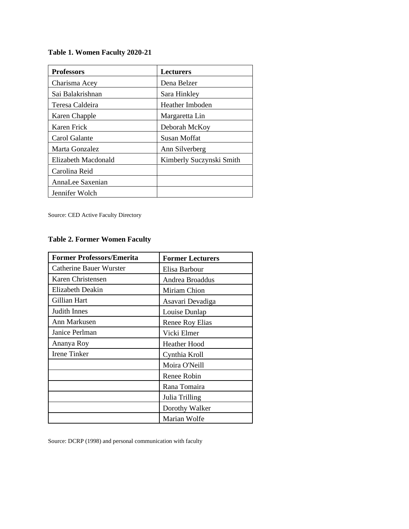# **Table 1. Women Faculty 2020-21**

| <b>Professors</b>   | <b>Lecturers</b>         |
|---------------------|--------------------------|
| Charisma Acey       | Dena Belzer              |
| Sai Balakrishnan    | Sara Hinkley             |
| Teresa Caldeira     | Heather Imboden          |
| Karen Chapple       | Margaretta Lin           |
| Karen Frick         | Deborah McKoy            |
| Carol Galante       | Susan Moffat             |
| Marta Gonzalez      | Ann Silverberg           |
| Elizabeth Macdonald | Kimberly Suczynski Smith |
| Carolina Reid       |                          |
| AnnaLee Saxenian    |                          |
| Jennifer Wolch      |                          |

Source: CED Active Faculty Directory

#### **Table 2. Former Women Faculty**

| <b>Former Professors/Emerita</b> | <b>Former Lecturers</b> |  |  |  |
|----------------------------------|-------------------------|--|--|--|
| <b>Catherine Bauer Wurster</b>   | Elisa Barbour           |  |  |  |
| Karen Christensen                | Andrea Broaddus         |  |  |  |
| Elizabeth Deakin                 | Miriam Chion            |  |  |  |
| Gillian Hart                     | Asavari Devadiga        |  |  |  |
| Judith Innes                     | Louise Dunlap           |  |  |  |
| Ann Markusen                     | Renee Roy Elias         |  |  |  |
| Janice Perlman                   | Vicki Elmer             |  |  |  |
| Ananya Roy                       | <b>Heather Hood</b>     |  |  |  |
| <b>Irene Tinker</b>              | Cynthia Kroll           |  |  |  |
|                                  | Moira O'Neill           |  |  |  |
|                                  | Renee Robin             |  |  |  |
|                                  | Rana Tomaira            |  |  |  |
|                                  | Julia Trilling          |  |  |  |
|                                  | Dorothy Walker          |  |  |  |
|                                  | Marian Wolfe            |  |  |  |

Source: DCRP (1998) and personal communication with faculty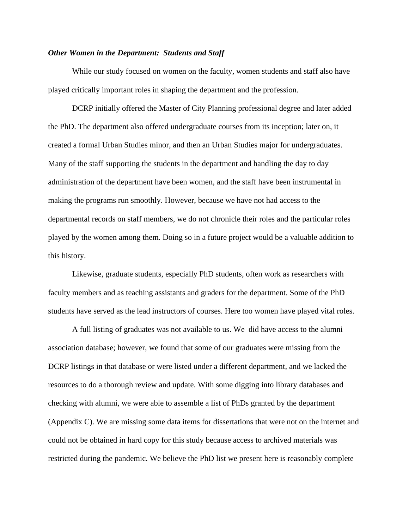#### *Other Women in the Department: Students and Staff*

While our study focused on women on the faculty, women students and staff also have played critically important roles in shaping the department and the profession.

DCRP initially offered the Master of City Planning professional degree and later added the PhD. The department also offered undergraduate courses from its inception; later on, it created a formal Urban Studies minor, and then an Urban Studies major for undergraduates. Many of the staff supporting the students in the department and handling the day to day administration of the department have been women, and the staff have been instrumental in making the programs run smoothly. However, because we have not had access to the departmental records on staff members, we do not chronicle their roles and the particular roles played by the women among them. Doing so in a future project would be a valuable addition to this history.

Likewise, graduate students, especially PhD students, often work as researchers with faculty members and as teaching assistants and graders for the department. Some of the PhD students have served as the lead instructors of courses. Here too women have played vital roles.

A full listing of graduates was not available to us. We did have access to the alumni association database; however, we found that some of our graduates were missing from the DCRP listings in that database or were listed under a different department, and we lacked the resources to do a thorough review and update. With some digging into library databases and checking with alumni, we were able to assemble a list of PhDs granted by the department (Appendix C). We are missing some data items for dissertations that were not on the internet and could not be obtained in hard copy for this study because access to archived materials was restricted during the pandemic. We believe the PhD list we present here is reasonably complete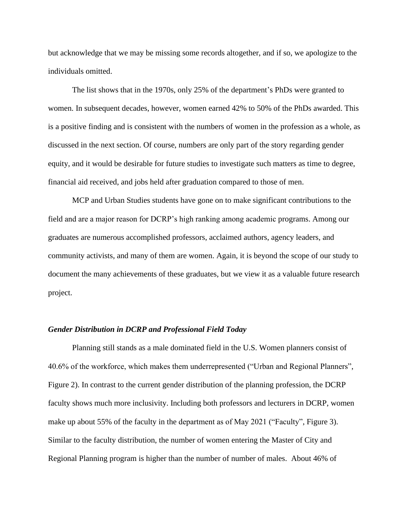but acknowledge that we may be missing some records altogether, and if so, we apologize to the individuals omitted.

The list shows that in the 1970s, only 25% of the department's PhDs were granted to women. In subsequent decades, however, women earned 42% to 50% of the PhDs awarded. This is a positive finding and is consistent with the numbers of women in the profession as a whole, as discussed in the next section. Of course, numbers are only part of the story regarding gender equity, and it would be desirable for future studies to investigate such matters as time to degree, financial aid received, and jobs held after graduation compared to those of men.

MCP and Urban Studies students have gone on to make significant contributions to the field and are a major reason for DCRP's high ranking among academic programs. Among our graduates are numerous accomplished professors, acclaimed authors, agency leaders, and community activists, and many of them are women. Again, it is beyond the scope of our study to document the many achievements of these graduates, but we view it as a valuable future research project.

#### *Gender Distribution in DCRP and Professional Field Today*

Planning still stands as a male dominated field in the U.S. Women planners consist of 40.6% of the workforce, which makes them underrepresented ("Urban and Regional Planners", Figure 2). In contrast to the current gender distribution of the planning profession, the DCRP faculty shows much more inclusivity. Including both professors and lecturers in DCRP, women make up about 55% of the faculty in the department as of May 2021 ("Faculty", Figure 3). Similar to the faculty distribution, the number of women entering the Master of City and Regional Planning program is higher than the number of number of males. About 46% of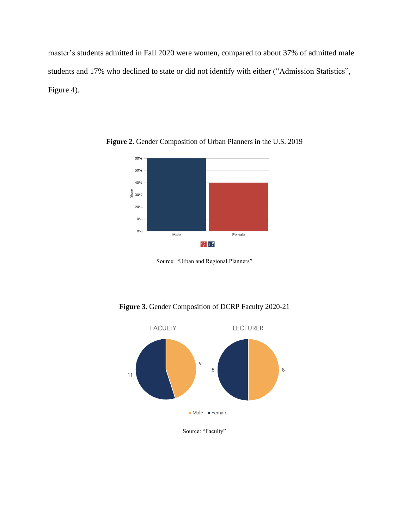master's students admitted in Fall 2020 were women, compared to about 37% of admitted male students and 17% who declined to state or did not identify with either ("Admission Statistics", Figure 4).



**Figure 2.** Gender Composition of Urban Planners in the U.S. 2019





Source: "Faculty"

Source: "Urban and Regional Planners"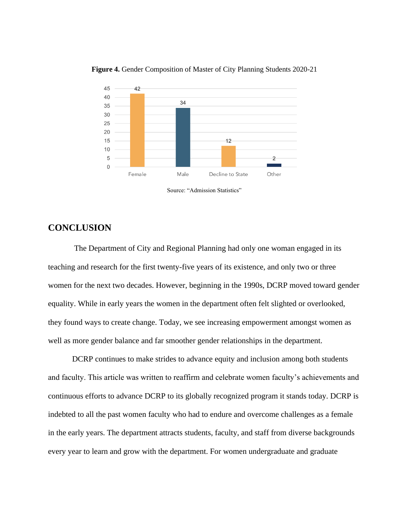

#### **Figure 4.** Gender Composition of Master of City Planning Students 2020-21

#### **CONCLUSION**

The Department of City and Regional Planning had only one woman engaged in its teaching and research for the first twenty-five years of its existence, and only two or three women for the next two decades. However, beginning in the 1990s, DCRP moved toward gender equality. While in early years the women in the department often felt slighted or overlooked, they found ways to create change. Today, we see increasing empowerment amongst women as well as more gender balance and far smoother gender relationships in the department.

DCRP continues to make strides to advance equity and inclusion among both students and faculty. This article was written to reaffirm and celebrate women faculty's achievements and continuous efforts to advance DCRP to its globally recognized program it stands today. DCRP is indebted to all the past women faculty who had to endure and overcome challenges as a female in the early years. The department attracts students, faculty, and staff from diverse backgrounds every year to learn and grow with the department. For women undergraduate and graduate

Source: "Admission Statistics"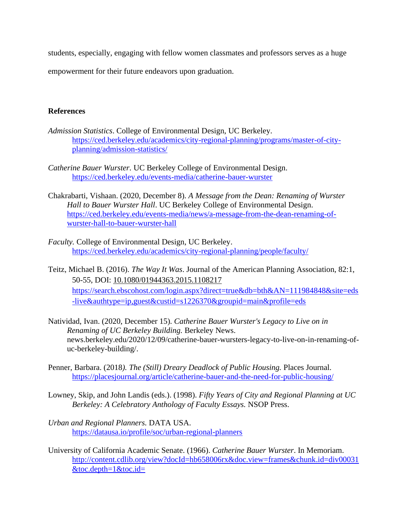students, especially, engaging with fellow women classmates and professors serves as a huge

empowerment for their future endeavors upon graduation.

#### **References**

- *Admission Statistics*. College of Environmental Design, UC Berkeley. [https://ced.berkeley.edu/academics/city-regional-planning/programs/master-of-city](https://ced.berkeley.edu/academics/city-regional-planning/programs/master-of-city-planning/admission-statistics/)[planning/admission-statistics/](https://ced.berkeley.edu/academics/city-regional-planning/programs/master-of-city-planning/admission-statistics/)
- *Catherine Bauer Wurster.* UC Berkeley College of Environmental Design. <https://ced.berkeley.edu/events-media/catherine-bauer-wurster>
- Chakrabarti, Vishaan. (2020, December 8). *A Message from the Dean: Renaming of Wurster Hall to Bauer Wurster Hall*. UC Berkeley College of Environmental Design. [https://ced.berkeley.edu/events-media/news/a-message-from-the-dean-renaming-of](https://ced.berkeley.edu/events-media/news/a-message-from-the-dean-renaming-of-wurster-hall-to-bauer-wurster-hall)[wurster-hall-to-bauer-wurster-hall](https://ced.berkeley.edu/events-media/news/a-message-from-the-dean-renaming-of-wurster-hall-to-bauer-wurster-hall)
- *Faculty.* College of Environmental Design, UC Berkeley. <https://ced.berkeley.edu/academics/city-regional-planning/people/faculty/>
- Teitz, Michael B. (2016). *The Way It Was*. Journal of the American Planning Association, 82:1, 50-55, DOI: [10.1080/01944363.2015.1108217](https://doi.org/10.1080/01944363.2015.1108217) [https://search.ebscohost.com/login.aspx?direct=true&db=bth&AN=111984848&site=eds](https://search.ebscohost.com/login.aspx?direct=true&db=bth&AN=111984848&site=eds-live&authtype=ip,guest&custid=s1226370&groupid=main&profile=eds) [-live&authtype=ip,guest&custid=s1226370&groupid=main&profile=eds](https://search.ebscohost.com/login.aspx?direct=true&db=bth&AN=111984848&site=eds-live&authtype=ip,guest&custid=s1226370&groupid=main&profile=eds)
- Natividad, Ivan. (2020, December 15). *Catherine Bauer Wurster's Legacy to Live on in Renaming of UC Berkeley Building.* Berkeley News. news.berkeley.edu/2020/12/09/catherine-bauer-wursters-legacy-to-live-on-in-renaming-ofuc-berkeley-building/.
- Penner, Barbara. (2018*). The (Still) Dreary Deadlock of Public Housing.* Places Journal. <https://placesjournal.org/article/catherine-bauer-and-the-need-for-public-housing/>
- Lowney, Skip, and John Landis (eds.). (1998). *Fifty Years of City and Regional Planning at UC Berkeley: A Celebratory Anthology of Faculty Essays.* NSOP Press.
- *Urban and Regional Planners.* DATA USA. <https://datausa.io/profile/soc/urban-regional-planners>
- University of California Academic Senate. (1966). *Catherine Bauer Wurster*. In Memoriam. [http://content.cdlib.org/view?docId=hb658006rx&doc.view=frames&chunk.id=div00031](http://content.cdlib.org/view?docId=hb658006rx&doc.view=frames&chunk.id=div00031&toc.depth=1&toc.id=) [&toc.depth=1&toc.id=](http://content.cdlib.org/view?docId=hb658006rx&doc.view=frames&chunk.id=div00031&toc.depth=1&toc.id=)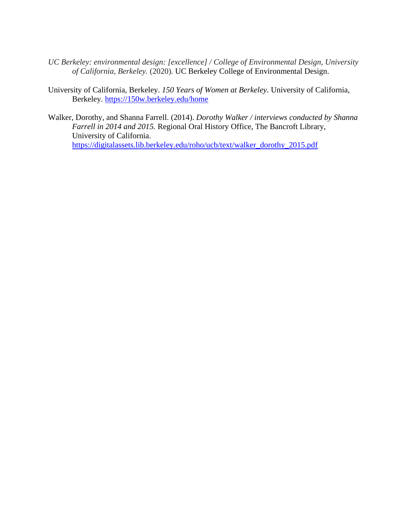- *UC Berkeley: environmental design: [excellence] / College of Environmental Design, University of California, Berkeley.* (2020)*.* UC Berkeley College of Environmental Design.
- University of California, Berkeley. *150 Years of Women at Berkeley*. University of California, Berkeley.<https://150w.berkeley.edu/home>
- Walker, Dorothy, and Shanna Farrell. (2014). *Dorothy Walker / interviews conducted by Shanna Farrell in 2014 and 2015.* Regional Oral History Office, The Bancroft Library, University of California. [https://digitalassets.lib.berkeley.edu/roho/ucb/text/walker\\_dorothy\\_2015.pdf](https://digitalassets.lib.berkeley.edu/roho/ucb/text/walker_dorothy_2015.pdf)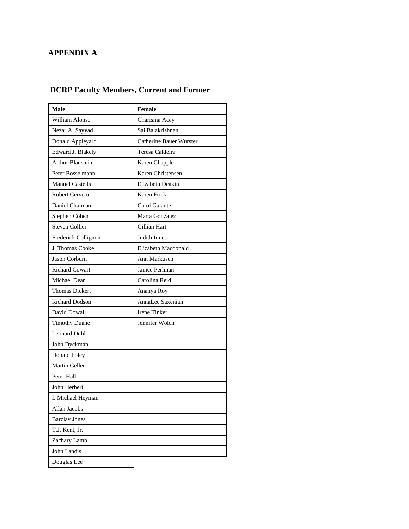# **APPENDIX A**

# **DCRP Faculty Members, Current and Former**

| <b>Male</b>             | <b>Female</b>                  |
|-------------------------|--------------------------------|
| William Alonso          | Charisma Acey                  |
| Nezar Al Sayyad         | Sai Balakrishnan               |
| Donald Appleyard        | <b>Catherine Bauer Wurster</b> |
| Edward J. Blakely       | Teresa Caldeira                |
| <b>Arthur Blaustein</b> | Karen Chapple                  |
| Peter Bosselmann        | Karen Christensen              |
| <b>Manuel Castells</b>  | Elizabeth Deakin               |
| Robert Cervero          | Karen Frick                    |
| Daniel Chatman          | Carol Galante                  |
| Stephen Cohen           | Marta Gonzalez                 |
| <b>Steven Collier</b>   | Gillian Hart                   |
| Frederick Collignon     | <b>Judith Innes</b>            |
| J. Thomas Cooke         | Elizabeth Macdonald            |
| Jason Corburn           | Ann Markusen                   |
| <b>Richard Cowart</b>   | Janice Perlman                 |
| Michael Dear            | Carolina Reid                  |
| <b>Thomas Dickert</b>   | Ananya Roy                     |
| <b>Richard Dodson</b>   | AnnaLee Saxenian               |
| David Dowall            | <b>Irene Tinker</b>            |
| <b>Timothy Duane</b>    | Jennifer Wolch                 |
| <b>Leonard Duhl</b>     |                                |
| John Dyckman            |                                |
| Donald Foley            |                                |
| Martin Gellen           |                                |
| Peter Hall              |                                |
| John Herbert            |                                |
| I. Michael Heyman       |                                |
| Allan Jacobs            |                                |
| <b>Barclay Jones</b>    |                                |
| T.J. Kent, Jr.          |                                |
| Zachary Lamb            |                                |
| John Landis             |                                |
| Douglas Lee             |                                |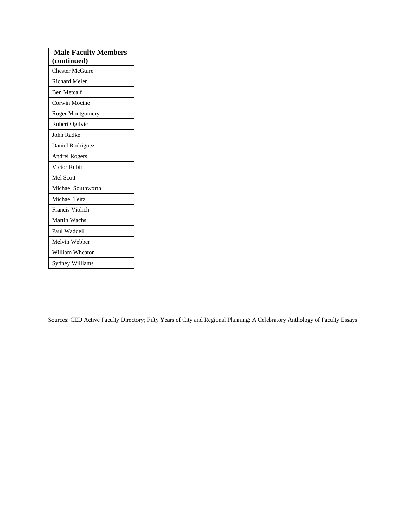| <b>Male Faculty Members</b> |
|-----------------------------|
| (continued)                 |
| <b>Chester McGuire</b>      |
| <b>Richard Meier</b>        |
| <b>Ben Metcalf</b>          |
| Corwin Mocine               |
| <b>Roger Montgomery</b>     |
| Robert Ogilvie              |
| John Radke                  |
| Daniel Rodriguez            |
| Andrei Rogers               |
| Victor Rubin                |
| <b>Mel Scott</b>            |
| Michael Southworth          |
| Michael Teitz               |
| Francis Violich             |
| Martin Wachs                |
| Paul Waddell                |
| Melvin Webber               |
| William Wheaton             |
| Sydney Williams             |

Sources: CED Active Faculty Directory; Fifty Years of City and Regional Planning: A Celebratory Anthology of Faculty Essays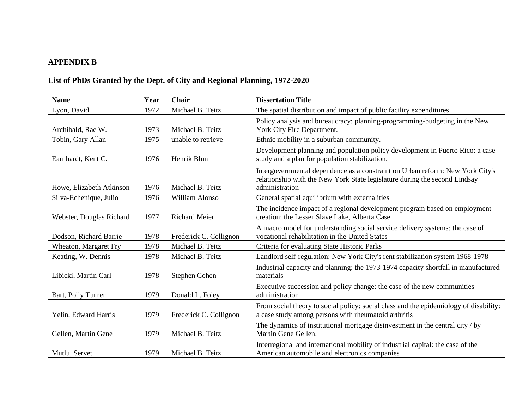# **APPENDIX B**

# **List of PhDs Granted by the Dept. of City and Regional Planning, 1972-2020**

| <b>Name</b>              | Year | Chair                  | <b>Dissertation Title</b>                                                                                                                                                     |
|--------------------------|------|------------------------|-------------------------------------------------------------------------------------------------------------------------------------------------------------------------------|
| Lyon, David              | 1972 | Michael B. Teitz       | The spatial distribution and impact of public facility expenditures                                                                                                           |
| Archibald, Rae W.        | 1973 | Michael B. Teitz       | Policy analysis and bureaucracy: planning-programming-budgeting in the New<br>York City Fire Department.                                                                      |
| Tobin, Gary Allan        | 1975 | unable to retrieve     | Ethnic mobility in a suburban community.                                                                                                                                      |
| Earnhardt, Kent C.       | 1976 | Henrik Blum            | Development planning and population policy development in Puerto Rico: a case<br>study and a plan for population stabilization.                                               |
| Howe, Elizabeth Atkinson | 1976 | Michael B. Teitz       | Intergovernmental dependence as a constraint on Urban reform: New York City's<br>relationship with the New York State legislature during the second Lindsay<br>administration |
| Silva-Echenique, Julio   | 1976 | William Alonso         | General spatial equilibrium with externalities                                                                                                                                |
| Webster, Douglas Richard | 1977 | <b>Richard Meier</b>   | The incidence impact of a regional development program based on employment<br>creation: the Lesser Slave Lake, Alberta Case                                                   |
| Dodson, Richard Barrie   | 1978 | Frederick C. Collignon | A macro model for understanding social service delivery systems: the case of<br>vocational rehabilitation in the United States                                                |
| Wheaton, Margaret Fry    | 1978 | Michael B. Teitz       | Criteria for evaluating State Historic Parks                                                                                                                                  |
| Keating, W. Dennis       | 1978 | Michael B. Teitz       | Landlord self-regulation: New York City's rent stabilization system 1968-1978                                                                                                 |
| Libicki, Martin Carl     | 1978 | Stephen Cohen          | Industrial capacity and planning: the 1973-1974 capacity shortfall in manufactured<br>materials                                                                               |
| Bart, Polly Turner       | 1979 | Donald L. Foley        | Executive succession and policy change: the case of the new communities<br>administration                                                                                     |
| Yelin, Edward Harris     | 1979 | Frederick C. Collignon | From social theory to social policy: social class and the epidemiology of disability:<br>a case study among persons with rheumatoid arthritis                                 |
| Gellen, Martin Gene      | 1979 | Michael B. Teitz       | The dynamics of institutional mortgage disinvestment in the central city / by<br>Martin Gene Gellen.                                                                          |
| Mutlu, Servet            | 1979 | Michael B. Teitz       | Interregional and international mobility of industrial capital: the case of the<br>American automobile and electronics companies                                              |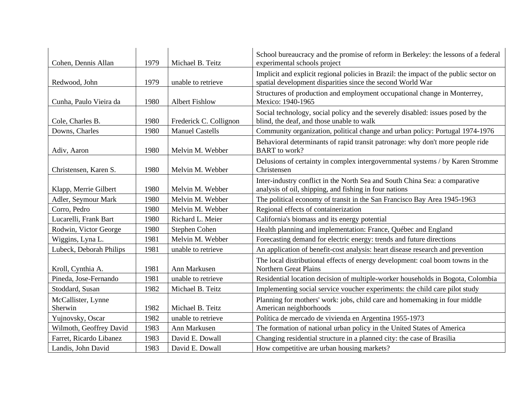| Cohen, Dennis Allan           | 1979 | Michael B. Teitz       | School bureaucracy and the promise of reform in Berkeley: the lessons of a federal<br>experimental schools project                                  |
|-------------------------------|------|------------------------|-----------------------------------------------------------------------------------------------------------------------------------------------------|
| Redwood, John                 | 1979 | unable to retrieve     | Implicit and explicit regional policies in Brazil: the impact of the public sector on<br>spatial development disparities since the second World War |
| Cunha, Paulo Vieira da        | 1980 | <b>Albert Fishlow</b>  | Structures of production and employment occupational change in Monterrey,<br>Mexico: 1940-1965                                                      |
| Cole, Charles B.              | 1980 | Frederick C. Collignon | Social technology, social policy and the severely disabled: issues posed by the<br>blind, the deaf, and those unable to walk                        |
| Downs, Charles                | 1980 | <b>Manuel Castells</b> | Community organization, political change and urban policy: Portugal 1974-1976                                                                       |
| Adiv, Aaron                   | 1980 | Melvin M. Webber       | Behavioral determinants of rapid transit patronage: why don't more people ride<br><b>BART</b> to work?                                              |
| Christensen, Karen S.         | 1980 | Melvin M. Webber       | Delusions of certainty in complex intergovernmental systems / by Karen Stromme<br>Christensen                                                       |
| Klapp, Merrie Gilbert         | 1980 | Melvin M. Webber       | Inter-industry conflict in the North Sea and South China Sea: a comparative<br>analysis of oil, shipping, and fishing in four nations               |
| Adler, Seymour Mark           | 1980 | Melvin M. Webber       | The political economy of transit in the San Francisco Bay Area 1945-1963                                                                            |
| Corro, Pedro                  | 1980 | Melvin M. Webber       | Regional effects of containerization                                                                                                                |
| Lucarelli, Frank Bart         | 1980 | Richard L. Meier       | California's biomass and its energy potential                                                                                                       |
| Rodwin, Victor George         | 1980 | Stephen Cohen          | Health planning and implementation: France, Québec and England                                                                                      |
| Wiggins, Lyna L.              | 1981 | Melvin M. Webber       | Forecasting demand for electric energy: trends and future directions                                                                                |
| Lubeck, Deborah Philips       | 1981 | unable to retrieve     | An application of benefit-cost analysis: heart disease research and prevention                                                                      |
| Kroll, Cynthia A.             | 1981 | Ann Markusen           | The local distributional effects of energy development: coal boom towns in the<br>Northern Great Plains                                             |
| Pineda, Jose-Fernando         | 1981 | unable to retrieve     | Residential location decision of multiple-worker households in Bogota, Colombia                                                                     |
| Stoddard, Susan               | 1982 | Michael B. Teitz       | Implementing social service voucher experiments: the child care pilot study                                                                         |
| McCallister, Lynne<br>Sherwin | 1982 | Michael B. Teitz       | Planning for mothers' work: jobs, child care and homemaking in four middle<br>American neighborhoods                                                |
| Yujnovsky, Oscar              | 1982 | unable to retrieve     | Política de mercado de vivienda en Argentina 1955-1973                                                                                              |
| Wilmoth, Geoffrey David       | 1983 | Ann Markusen           | The formation of national urban policy in the United States of America                                                                              |
| Farret, Ricardo Libanez       | 1983 | David E. Dowall        | Changing residential structure in a planned city: the case of Brasilia                                                                              |
| Landis, John David            | 1983 | David E. Dowall        | How competitive are urban housing markets?                                                                                                          |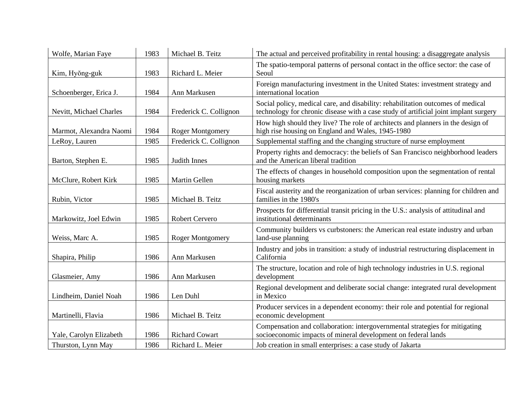| Wolfe, Marian Faye      | 1983 | Michael B. Teitz        | The actual and perceived profitability in rental housing: a disaggregate analysis                                                                                       |
|-------------------------|------|-------------------------|-------------------------------------------------------------------------------------------------------------------------------------------------------------------------|
| Kim, Hyŏng-guk          | 1983 | Richard L. Meier        | The spatio-temporal patterns of personal contact in the office sector: the case of<br>Seoul                                                                             |
| Schoenberger, Erica J.  | 1984 | Ann Markusen            | Foreign manufacturing investment in the United States: investment strategy and<br>international location                                                                |
| Nevitt, Michael Charles | 1984 | Frederick C. Collignon  | Social policy, medical care, and disability: rehabilitation outcomes of medical<br>technology for chronic disease with a case study of artificial joint implant surgery |
| Marmot, Alexandra Naomi | 1984 | Roger Montgomery        | How high should they live? The role of architects and planners in the design of<br>high rise housing on England and Wales, 1945-1980                                    |
| LeRoy, Lauren           | 1985 | Frederick C. Collignon  | Supplemental staffing and the changing structure of nurse employment                                                                                                    |
| Barton, Stephen E.      | 1985 | Judith Innes            | Property rights and democracy: the beliefs of San Francisco neighborhood leaders<br>and the American liberal tradition                                                  |
| McClure, Robert Kirk    | 1985 | Martin Gellen           | The effects of changes in household composition upon the segmentation of rental<br>housing markets                                                                      |
| Rubin, Victor           | 1985 | Michael B. Teitz        | Fiscal austerity and the reorganization of urban services: planning for children and<br>families in the 1980's                                                          |
| Markowitz, Joel Edwin   | 1985 | Robert Cervero          | Prospects for differential transit pricing in the U.S.: analysis of attitudinal and<br>institutional determinants                                                       |
| Weiss, Marc A.          | 1985 | <b>Roger Montgomery</b> | Community builders vs curbstoners: the American real estate industry and urban<br>land-use planning                                                                     |
| Shapira, Philip         | 1986 | Ann Markusen            | Industry and jobs in transition: a study of industrial restructuring displacement in<br>California                                                                      |
| Glasmeier, Amy          | 1986 | Ann Markusen            | The structure, location and role of high technology industries in U.S. regional<br>development                                                                          |
| Lindheim, Daniel Noah   | 1986 | Len Duhl                | Regional development and deliberate social change: integrated rural development<br>in Mexico                                                                            |
| Martinelli, Flavia      | 1986 | Michael B. Teitz        | Producer services in a dependent economy: their role and potential for regional<br>economic development                                                                 |
| Yale, Carolyn Elizabeth | 1986 | <b>Richard Cowart</b>   | Compensation and collaboration: intergovernmental strategies for mitigating<br>socioeconomic impacts of mineral development on federal lands                            |
| Thurston, Lynn May      | 1986 | Richard L. Meier        | Job creation in small enterprises: a case study of Jakarta                                                                                                              |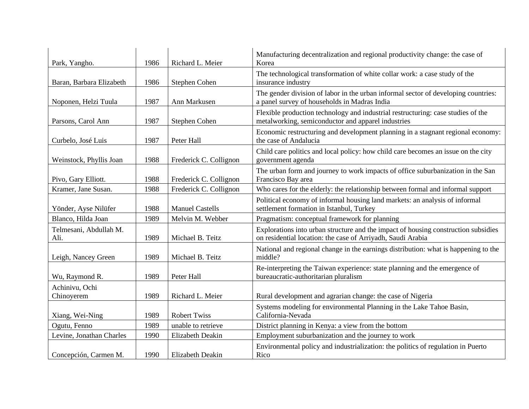| Park, Yangho.                  | 1986 | Richard L. Meier        | Manufacturing decentralization and regional productivity change: the case of<br>Korea                                                             |
|--------------------------------|------|-------------------------|---------------------------------------------------------------------------------------------------------------------------------------------------|
| Baran, Barbara Elizabeth       | 1986 | Stephen Cohen           | The technological transformation of white collar work: a case study of the<br>insurance industry                                                  |
| Noponen, Helzi Tuula           | 1987 | Ann Markusen            | The gender division of labor in the urban informal sector of developing countries:<br>a panel survey of households in Madras India                |
| Parsons, Carol Ann             | 1987 | Stephen Cohen           | Flexible production technology and industrial restructuring: case studies of the<br>metalworking, semiconductor and apparel industries            |
| Curbelo, José Luis             | 1987 | Peter Hall              | Economic restructuring and development planning in a stagnant regional economy:<br>the case of Andalucia                                          |
| Weinstock, Phyllis Joan        | 1988 | Frederick C. Collignon  | Child care politics and local policy: how child care becomes an issue on the city<br>government agenda                                            |
| Pivo, Gary Elliott.            | 1988 | Frederick C. Collignon  | The urban form and journey to work impacts of office suburbanization in the San<br>Francisco Bay area                                             |
| Kramer, Jane Susan.            | 1988 | Frederick C. Collignon  | Who cares for the elderly: the relationship between formal and informal support                                                                   |
| Yönder, Ayse Nilüfer           | 1988 | <b>Manuel Castells</b>  | Political economy of informal housing land markets: an analysis of informal<br>settlement formation in Istanbul, Turkey                           |
| Blanco, Hilda Joan             | 1989 | Melvin M. Webber        | Pragmatism: conceptual framework for planning                                                                                                     |
| Telmesani, Abdullah M.<br>Ali. | 1989 | Michael B. Teitz        | Explorations into urban structure and the impact of housing construction subsidies<br>on residential location: the case of Arriyadh, Saudi Arabia |
| Leigh, Nancey Green            | 1989 | Michael B. Teitz        | National and regional change in the earnings distribution: what is happening to the<br>middle?                                                    |
| Wu, Raymond R.                 | 1989 | Peter Hall              | Re-interpreting the Taiwan experience: state planning and the emergence of<br>bureaucratic-authoritarian pluralism                                |
| Achinivu, Ochi<br>Chinoyerem   | 1989 | Richard L. Meier        | Rural development and agrarian change: the case of Nigeria                                                                                        |
| Xiang, Wei-Ning                | 1989 | <b>Robert Twiss</b>     | Systems modeling for environmental Planning in the Lake Tahoe Basin,<br>California-Nevada                                                         |
| Ogutu, Fenno                   | 1989 | unable to retrieve      | District planning in Kenya: a view from the bottom                                                                                                |
| Levine, Jonathan Charles       | 1990 | Elizabeth Deakin        | Employment suburbanization and the journey to work                                                                                                |
| Concepción, Carmen M.          | 1990 | <b>Elizabeth Deakin</b> | Environmental policy and industrialization: the politics of regulation in Puerto<br>Rico                                                          |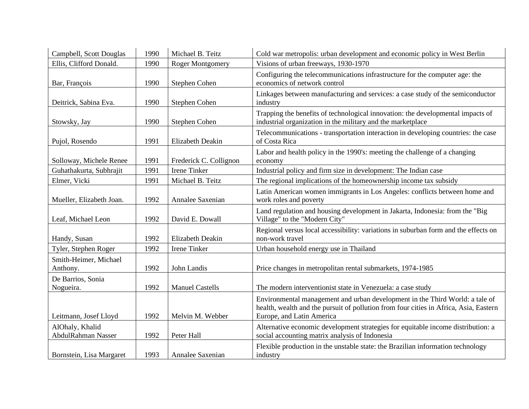| Campbell, Scott Douglas                      | 1990 | Michael B. Teitz        | Cold war metropolis: urban development and economic policy in West Berlin                                                                                                                          |
|----------------------------------------------|------|-------------------------|----------------------------------------------------------------------------------------------------------------------------------------------------------------------------------------------------|
| Ellis, Clifford Donald.                      | 1990 | <b>Roger Montgomery</b> | Visions of urban freeways, 1930-1970                                                                                                                                                               |
| Bar, François                                | 1990 | Stephen Cohen           | Configuring the telecommunications infrastructure for the computer age: the<br>economics of network control                                                                                        |
| Deitrick, Sabina Eva.                        | 1990 | Stephen Cohen           | Linkages between manufacturing and services: a case study of the semiconductor<br>industry                                                                                                         |
| Stowsky, Jay                                 | 1990 | Stephen Cohen           | Trapping the benefits of technological innovation: the developmental impacts of<br>industrial organization in the military and the marketplace                                                     |
| Pujol, Rosendo                               | 1991 | Elizabeth Deakin        | Telecommunications - transportation interaction in developing countries: the case<br>of Costa Rica                                                                                                 |
| Solloway, Michele Renee                      | 1991 | Frederick C. Collignon  | Labor and health policy in the 1990's: meeting the challenge of a changing<br>economy                                                                                                              |
| Guhathakurta, Subhrajit                      | 1991 | Irene Tinker            | Industrial policy and firm size in development: The Indian case                                                                                                                                    |
| Elmer, Vicki                                 | 1991 | Michael B. Teitz        | The regional implications of the homeownership income tax subsidy                                                                                                                                  |
| Mueller, Elizabeth Joan.                     | 1992 | Annalee Saxenian        | Latin American women immigrants in Los Angeles: conflicts between home and<br>work roles and poverty                                                                                               |
| Leaf, Michael Leon                           | 1992 | David E. Dowall         | Land regulation and housing development in Jakarta, Indonesia: from the "Big<br>Village" to the "Modern City"                                                                                      |
| Handy, Susan                                 | 1992 | <b>Elizabeth Deakin</b> | Regional versus local accessibility: variations in suburban form and the effects on<br>non-work travel                                                                                             |
| Tyler, Stephen Roger                         | 1992 | Irene Tinker            | Urban household energy use in Thailand                                                                                                                                                             |
| Smith-Heimer, Michael<br>Anthony.            | 1992 | John Landis             | Price changes in metropolitan rental submarkets, 1974-1985                                                                                                                                         |
| De Barrios, Sonia<br>Nogueira.               | 1992 | <b>Manuel Castells</b>  | The modern interventionist state in Venezuela: a case study                                                                                                                                        |
| Leitmann, Josef Lloyd                        | 1992 | Melvin M. Webber        | Environmental management and urban development in the Third World: a tale of<br>health, wealth and the pursuit of pollution from four cities in Africa, Asia, Eastern<br>Europe, and Latin America |
| AlOhaly, Khalid<br><b>AbdulRahman Nasser</b> | 1992 | Peter Hall              | Alternative economic development strategies for equitable income distribution: a<br>social accounting matrix analysis of Indonesia                                                                 |
| Bornstein, Lisa Margaret                     | 1993 | Annalee Saxenian        | Flexible production in the unstable state: the Brazilian information technology<br>industry                                                                                                        |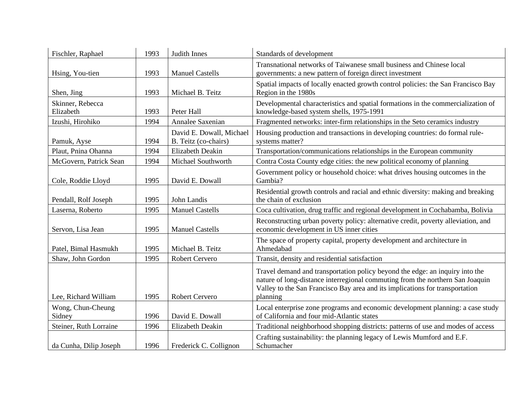| Fischler, Raphael             | 1993 | Judith Innes                                     | Standards of development                                                                                                                                                                                                                                  |
|-------------------------------|------|--------------------------------------------------|-----------------------------------------------------------------------------------------------------------------------------------------------------------------------------------------------------------------------------------------------------------|
| Hsing, You-tien               | 1993 | <b>Manuel Castells</b>                           | Transnational networks of Taiwanese small business and Chinese local<br>governments: a new pattern of foreign direct investment                                                                                                                           |
| Shen, Jing                    | 1993 | Michael B. Teitz                                 | Spatial impacts of locally enacted growth control policies: the San Francisco Bay<br>Region in the 1980s                                                                                                                                                  |
| Skinner, Rebecca<br>Elizabeth | 1993 | Peter Hall                                       | Developmental characteristics and spatial formations in the commercialization of<br>knowledge-based system shells, 1975-1991                                                                                                                              |
| Izushi, Hirohiko              | 1994 | Annalee Saxenian                                 | Fragmented networks: inter-firm relationships in the Seto ceramics industry                                                                                                                                                                               |
| Pamuk, Ayse                   | 1994 | David E. Dowall, Michael<br>B. Teitz (co-chairs) | Housing production and transactions in developing countries: do formal rule-<br>systems matter?                                                                                                                                                           |
| Plaut, Pnina Ohanna           | 1994 | <b>Elizabeth Deakin</b>                          | Transportation/communications relationships in the European community                                                                                                                                                                                     |
| McGovern, Patrick Sean        | 1994 | Michael Southworth                               | Contra Costa County edge cities: the new political economy of planning                                                                                                                                                                                    |
| Cole, Roddie Lloyd            | 1995 | David E. Dowall                                  | Government policy or household choice: what drives housing outcomes in the<br>Gambia?                                                                                                                                                                     |
| Pendall, Rolf Joseph          | 1995 | John Landis                                      | Residential growth controls and racial and ethnic diversity: making and breaking<br>the chain of exclusion                                                                                                                                                |
| Laserna, Roberto              | 1995 | <b>Manuel Castells</b>                           | Coca cultivation, drug traffic and regional development in Cochabamba, Bolivia                                                                                                                                                                            |
| Servon, Lisa Jean             | 1995 | <b>Manuel Castells</b>                           | Reconstructing urban poverty policy: alternative credit, poverty alleviation, and<br>economic development in US inner cities                                                                                                                              |
| Patel, Bimal Hasmukh          | 1995 | Michael B. Teitz                                 | The space of property capital, property development and architecture in<br>Ahmedabad                                                                                                                                                                      |
| Shaw, John Gordon             | 1995 | <b>Robert Cervero</b>                            | Transit, density and residential satisfaction                                                                                                                                                                                                             |
| Lee, Richard William          | 1995 | Robert Cervero                                   | Travel demand and transportation policy beyond the edge: an inquiry into the<br>nature of long-distance interregional commuting from the northern San Joaquin<br>Valley to the San Francisco Bay area and its implications for transportation<br>planning |
| Wong, Chun-Cheung<br>Sidney   | 1996 | David E. Dowall                                  | Local enterprise zone programs and economic development planning: a case study<br>of California and four mid-Atlantic states                                                                                                                              |
| Steiner, Ruth Lorraine        | 1996 | Elizabeth Deakin                                 | Traditional neighborhood shopping districts: patterns of use and modes of access                                                                                                                                                                          |
| da Cunha, Dilip Joseph        | 1996 | Frederick C. Collignon                           | Crafting sustainability: the planning legacy of Lewis Mumford and E.F.<br>Schumacher                                                                                                                                                                      |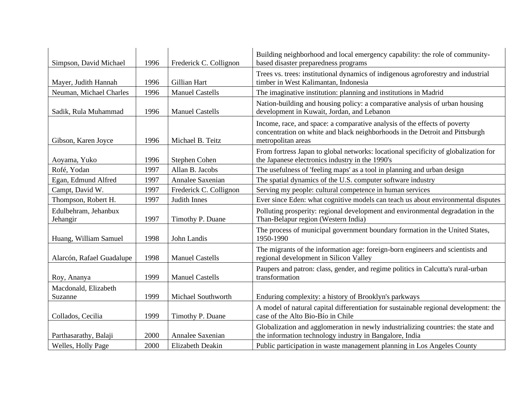| Simpson, David Michael           | 1996 | Frederick C. Collignon | Building neighborhood and local emergency capability: the role of community-<br>based disaster preparedness programs                                                            |
|----------------------------------|------|------------------------|---------------------------------------------------------------------------------------------------------------------------------------------------------------------------------|
| Mayer, Judith Hannah             | 1996 | Gillian Hart           | Trees vs. trees: institutional dynamics of indigenous agroforestry and industrial<br>timber in West Kalimantan, Indonesia                                                       |
| Neuman, Michael Charles          | 1996 | <b>Manuel Castells</b> | The imaginative institution: planning and institutions in Madrid                                                                                                                |
| Sadik, Rula Muhammad             | 1996 | <b>Manuel Castells</b> | Nation-building and housing policy: a comparative analysis of urban housing<br>development in Kuwait, Jordan, and Lebanon                                                       |
| Gibson, Karen Joyce              | 1996 | Michael B. Teitz       | Income, race, and space: a comparative analysis of the effects of poverty<br>concentration on white and black neighborhoods in the Detroit and Pittsburgh<br>metropolitan areas |
| Aoyama, Yuko                     | 1996 | Stephen Cohen          | From fortress Japan to global networks: locational specificity of globalization for<br>the Japanese electronics industry in the 1990's                                          |
| Rofé, Yodan                      | 1997 | Allan B. Jacobs        | The usefulness of 'feeling maps' as a tool in planning and urban design                                                                                                         |
| Egan, Edmund Alfred              | 1997 | Annalee Saxenian       | The spatial dynamics of the U.S. computer software industry                                                                                                                     |
| Campt, David W.                  | 1997 | Frederick C. Collignon | Serving my people: cultural competence in human services                                                                                                                        |
| Thompson, Robert H.              | 1997 | Judith Innes           | Ever since Eden: what cognitive models can teach us about environmental disputes                                                                                                |
| Edulbehram, Jehanbux<br>Jehangir | 1997 | Timothy P. Duane       | Polluting prosperity: regional development and environmental degradation in the<br>Than-Belapur region (Western India)                                                          |
| Huang, William Samuel            | 1998 | John Landis            | The process of municipal government boundary formation in the United States,<br>1950-1990                                                                                       |
| Alarcón, Rafael Guadalupe        | 1998 | <b>Manuel Castells</b> | The migrants of the information age: foreign-born engineers and scientists and<br>regional development in Silicon Valley                                                        |
| Roy, Ananya                      | 1999 | <b>Manuel Castells</b> | Paupers and patron: class, gender, and regime politics in Calcutta's rural-urban<br>transformation                                                                              |
| Macdonald, Elizabeth<br>Suzanne  | 1999 | Michael Southworth     | Enduring complexity: a history of Brooklyn's parkways                                                                                                                           |
| Collados, Cecilia                | 1999 | Timothy P. Duane       | A model of natural capital differentiation for sustainable regional development: the<br>case of the Alto Bio-Bío in Chile                                                       |
| Parthasarathy, Balaji            | 2000 | Annalee Saxenian       | Globalization and agglomeration in newly industrializing countries: the state and<br>the information technology industry in Bangalore, India                                    |
| Welles, Holly Page               | 2000 | Elizabeth Deakin       | Public participation in waste management planning in Los Angeles County                                                                                                         |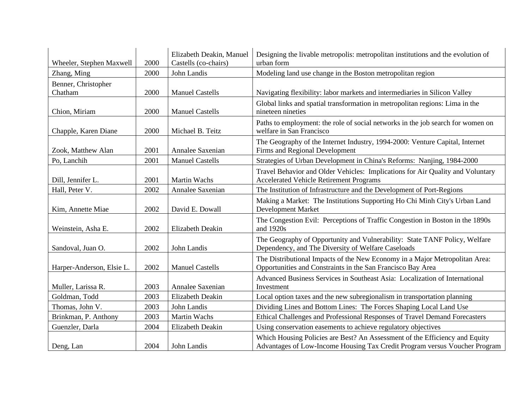| Wheeler, Stephen Maxwell       | 2000 | Elizabeth Deakin, Manuel<br>Castells (co-chairs) | Designing the livable metropolis: metropolitan institutions and the evolution of<br>urban form                                                            |
|--------------------------------|------|--------------------------------------------------|-----------------------------------------------------------------------------------------------------------------------------------------------------------|
| Zhang, Ming                    | 2000 | John Landis                                      | Modeling land use change in the Boston metropolitan region                                                                                                |
| Benner, Christopher<br>Chatham | 2000 | <b>Manuel Castells</b>                           | Navigating flexibility: labor markets and intermediaries in Silicon Valley                                                                                |
| Chion, Miriam                  | 2000 | <b>Manuel Castells</b>                           | Global links and spatial transformation in metropolitan regions: Lima in the<br>nineteen nineties                                                         |
| Chapple, Karen Diane           | 2000 | Michael B. Teitz                                 | Paths to employment: the role of social networks in the job search for women on<br>welfare in San Francisco                                               |
| Zook, Matthew Alan             | 2001 | Annalee Saxenian                                 | The Geography of the Internet Industry, 1994-2000: Venture Capital, Internet<br>Firms and Regional Development                                            |
| Po, Lanchih                    | 2001 | <b>Manuel Castells</b>                           | Strategies of Urban Development in China's Reforms: Nanjing, 1984-2000                                                                                    |
| Dill, Jennifer L.              | 2001 | <b>Martin Wachs</b>                              | Travel Behavior and Older Vehicles: Implications for Air Quality and Voluntary<br><b>Accelerated Vehicle Retirement Programs</b>                          |
| Hall, Peter V.                 | 2002 | Annalee Saxenian                                 | The Institution of Infrastructure and the Development of Port-Regions                                                                                     |
| Kim, Annette Miae              | 2002 | David E. Dowall                                  | Making a Market: The Institutions Supporting Ho Chi Minh City's Urban Land<br><b>Development Market</b>                                                   |
| Weinstein, Asha E.             | 2002 | Elizabeth Deakin                                 | The Congestion Evil: Perceptions of Traffic Congestion in Boston in the 1890s<br>and 1920s                                                                |
| Sandoval, Juan O.              | 2002 | John Landis                                      | The Geography of Opportunity and Vulnerability: State TANF Policy, Welfare<br>Dependency, and The Diversity of Welfare Caseloads                          |
| Harper-Anderson, Elsie L.      | 2002 | <b>Manuel Castells</b>                           | The Distributional Impacts of the New Economy in a Major Metropolitan Area:<br>Opportunities and Constraints in the San Francisco Bay Area                |
| Muller, Larissa R.             | 2003 | Annalee Saxenian                                 | Advanced Business Services in Southeast Asia: Localization of International<br>Investment                                                                 |
| Goldman, Todd                  | 2003 | Elizabeth Deakin                                 | Local option taxes and the new subregionalism in transportation planning                                                                                  |
| Thomas, John V.                | 2003 | John Landis                                      | Dividing Lines and Bottom Lines: The Forces Shaping Local Land Use                                                                                        |
| Brinkman, P. Anthony           | 2003 | <b>Martin Wachs</b>                              | Ethical Challenges and Professional Responses of Travel Demand Forecasters                                                                                |
| Guenzler, Darla                | 2004 | Elizabeth Deakin                                 | Using conservation easements to achieve regulatory objectives                                                                                             |
| Deng, Lan                      | 2004 | John Landis                                      | Which Housing Policies are Best? An Assessment of the Efficiency and Equity<br>Advantages of Low-Income Housing Tax Credit Program versus Voucher Program |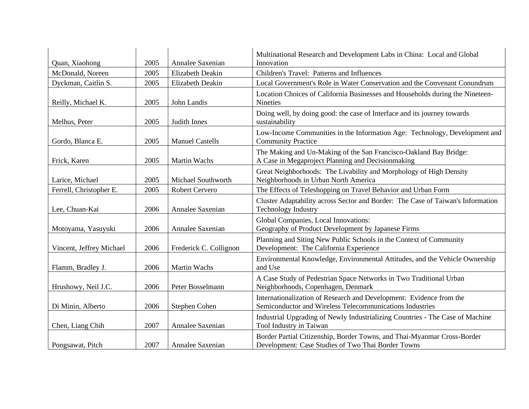| Quan, Xiaohong           | 2005 | Annalee Saxenian       | Multinational Research and Development Labs in China: Local and Global<br>Innovation                                            |
|--------------------------|------|------------------------|---------------------------------------------------------------------------------------------------------------------------------|
| McDonald, Noreen         | 2005 | Elizabeth Deakin       | Children's Travel: Patterns and Influences                                                                                      |
| Dyckman, Caitlin S.      | 2005 | Elizabeth Deakin       | Local Government's Role in Water Conservation and the Convenant Conundrum                                                       |
| Reilly, Michael K.       | 2005 | John Landis            | Location Choices of California Businesses and Households during the Nineteen-<br><b>Nineties</b>                                |
| Melhus, Peter            | 2005 | Judith Innes           | Doing well, by doing good: the case of Interface and its journey towards<br>sustainability                                      |
| Gordo, Blanca E.         | 2005 | <b>Manuel Castells</b> | Low-Income Communities in the Information Age: Technology, Development and<br><b>Community Practice</b>                         |
| Frick, Karen             | 2005 | <b>Martin Wachs</b>    | The Making and Un-Making of the San Francisco-Oakland Bay Bridge:<br>A Case in Megaproject Planning and Decisionmaking          |
| Larice, Michael          | 2005 | Michael Southworth     | Great Neighborhoods: The Livability and Morphology of High Density<br>Neighborhoods in Urban North America                      |
| Ferrell, Christopher E.  | 2005 | <b>Robert Cervero</b>  | The Effects of Teleshopping on Travel Behavior and Urban Form                                                                   |
| Lee, Chuan-Kai           | 2006 | Annalee Saxenian       | Cluster Adaptability across Sector and Border: The Case of Taiwan's Information<br><b>Technology Industry</b>                   |
| Motoyama, Yasuyuki       | 2006 | Annalee Saxenian       | Global Companies, Local Innovations:<br>Geography of Product Development by Japanese Firms                                      |
| Vincent, Jeffrey Michael | 2006 | Frederick C. Collignon | Planning and Siting New Public Schools in the Context of Community<br>Development: The California Experience                    |
| Flamm, Bradley J.        | 2006 | <b>Martin Wachs</b>    | Environmental Knowledge, Environmental Attitudes, and the Vehicle Ownership<br>and Use                                          |
| Hrushowy, Neil J.C.      | 2006 | Peter Bosselmann       | A Case Study of Pedestrian Space Networks in Two Traditional Urban<br>Neighborhoods, Copenhagen, Denmark                        |
| Di Minin, Alberto        | 2006 | Stephen Cohen          | Internationalization of Research and Development: Evidence from the<br>Semiconductor and Wireless Telecommunications Industries |
| Chen, Liang Chih         | 2007 | Annalee Saxenian       | Industrial Upgrading of Newly Industrializing Countries - The Case of Machine<br>Tool Industry in Taiwan                        |
| Pongsawat, Pitch         | 2007 | Annalee Saxenian       | Border Partial Citizenship, Border Towns, and Thai-Myanmar Cross-Border<br>Development: Case Studies of Two Thai Border Towns   |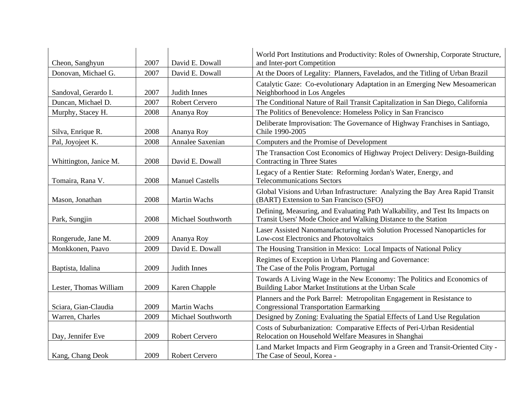| Cheon, Sanghyun        | 2007 | David E. Dowall        | World Port Institutions and Productivity: Roles of Ownership, Corporate Structure,<br>and Inter-port Competition                                |
|------------------------|------|------------------------|-------------------------------------------------------------------------------------------------------------------------------------------------|
| Donovan, Michael G.    | 2007 | David E. Dowall        | At the Doors of Legality: Planners, Favelados, and the Titling of Urban Brazil                                                                  |
| Sandoval, Gerardo I.   | 2007 | Judith Innes           | Catalytic Gaze: Co-evolutionary Adaptation in an Emerging New Mesoamerican<br>Neighborhood in Los Angeles                                       |
| Duncan, Michael D.     | 2007 | <b>Robert Cervero</b>  | The Conditional Nature of Rail Transit Capitalization in San Diego, California                                                                  |
| Murphy, Stacey H.      | 2008 | Ananya Roy             | The Politics of Benevolence: Homeless Policy in San Francisco                                                                                   |
| Silva, Enrique R.      | 2008 | Ananya Roy             | Deliberate Improvisation: The Governance of Highway Franchises in Santiago,<br>Chile 1990-2005                                                  |
| Pal, Joyojeet K.       | 2008 | Annalee Saxenian       | Computers and the Promise of Development                                                                                                        |
| Whittington, Janice M. | 2008 | David E. Dowall        | The Transaction Cost Economics of Highway Project Delivery: Design-Building<br><b>Contracting in Three States</b>                               |
| Tomaira, Rana V.       | 2008 | <b>Manuel Castells</b> | Legacy of a Rentier State: Reforming Jordan's Water, Energy, and<br><b>Telecommunications Sectors</b>                                           |
| Mason, Jonathan        | 2008 | Martin Wachs           | Global Visions and Urban Infrastructure: Analyzing the Bay Area Rapid Transit<br>(BART) Extension to San Francisco (SFO)                        |
| Park, Sungjin          | 2008 | Michael Southworth     | Defining, Measuring, and Evaluating Path Walkability, and Test Its Impacts on<br>Transit Users' Mode Choice and Walking Distance to the Station |
| Rongerude, Jane M.     | 2009 | Ananya Roy             | Laser Assisted Nanomanufacturing with Solution Processed Nanoparticles for<br>Low-cost Electronics and Photovoltaics                            |
| Monkkonen, Paavo       | 2009 | David E. Dowall        | The Housing Transition in Mexico: Local Impacts of National Policy                                                                              |
| Baptista, Idalina      | 2009 | Judith Innes           | Regimes of Exception in Urban Planning and Governance:<br>The Case of the Polis Program, Portugal                                               |
| Lester, Thomas William | 2009 | Karen Chapple          | Towards A Living Wage in the New Economy: The Politics and Economics of<br>Building Labor Market Institutions at the Urban Scale                |
| Sciara, Gian-Claudia   | 2009 | Martin Wachs           | Planners and the Pork Barrel: Metropolitan Engagement in Resistance to<br><b>Congressional Transportation Earmarking</b>                        |
| Warren, Charles        | 2009 | Michael Southworth     | Designed by Zoning: Evaluating the Spatial Effects of Land Use Regulation                                                                       |
| Day, Jennifer Eve      | 2009 | <b>Robert Cervero</b>  | Costs of Suburbanization: Comparative Effects of Peri-Urban Residential<br>Relocation on Household Welfare Measures in Shanghai                 |
| Kang, Chang Deok       | 2009 | <b>Robert Cervero</b>  | Land Market Impacts and Firm Geography in a Green and Transit-Oriented City -<br>The Case of Seoul, Korea -                                     |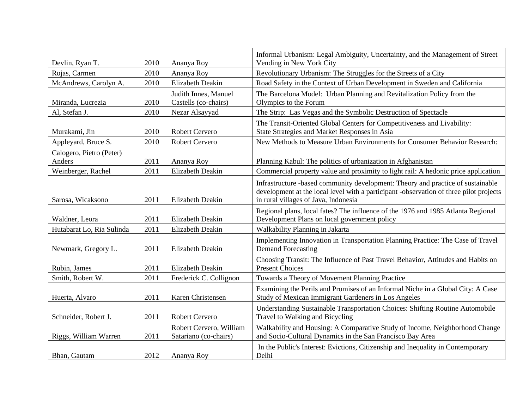| Devlin, Ryan T.                    | 2010 | Ananya Roy                                       | Informal Urbanism: Legal Ambiguity, Uncertainty, and the Management of Street<br>Vending in New York City                                                                                                         |
|------------------------------------|------|--------------------------------------------------|-------------------------------------------------------------------------------------------------------------------------------------------------------------------------------------------------------------------|
| Rojas, Carmen                      | 2010 | Ananya Roy                                       | Revolutionary Urbanism: The Struggles for the Streets of a City                                                                                                                                                   |
| McAndrews, Carolyn A.              | 2010 | <b>Elizabeth Deakin</b>                          | Road Safety in the Context of Urban Development in Sweden and California                                                                                                                                          |
| Miranda, Lucrezia                  | 2010 | Judith Innes, Manuel<br>Castells (co-chairs)     | The Barcelona Model: Urban Planning and Revitalization Policy from the<br>Olympics to the Forum                                                                                                                   |
| Al, Stefan J.                      | 2010 | Nezar Alsayyad                                   | The Strip: Las Vegas and the Symbolic Destruction of Spectacle                                                                                                                                                    |
| Murakami, Jin                      | 2010 | <b>Robert Cervero</b>                            | The Transit-Oriented Global Centers for Competitiveness and Livability:<br>State Strategies and Market Responses in Asia                                                                                          |
| Appleyard, Bruce S.                | 2010 | <b>Robert Cervero</b>                            | New Methods to Measure Urban Environments for Consumer Behavior Research:                                                                                                                                         |
| Calogero, Pietro (Peter)<br>Anders | 2011 | Ananya Roy                                       | Planning Kabul: The politics of urbanization in Afghanistan                                                                                                                                                       |
| Weinberger, Rachel                 | 2011 | <b>Elizabeth Deakin</b>                          | Commercial property value and proximity to light rail: A hedonic price application                                                                                                                                |
| Sarosa, Wicaksono                  | 2011 | <b>Elizabeth Deakin</b>                          | Infrastructure -based community development: Theory and practice of sustainable<br>development at the local level with a participant -observation of three pilot projects<br>in rural villages of Java, Indonesia |
| Waldner, Leora                     | 2011 | <b>Elizabeth Deakin</b>                          | Regional plans, local fates? The influence of the 1976 and 1985 Atlanta Regional<br>Development Plans on local government policy                                                                                  |
| Hutabarat Lo, Ria Sulinda          | 2011 | <b>Elizabeth Deakin</b>                          | Walkability Planning in Jakarta                                                                                                                                                                                   |
| Newmark, Gregory L.                | 2011 | <b>Elizabeth Deakin</b>                          | Implementing Innovation in Transportation Planning Practice: The Case of Travel<br><b>Demand Forecasting</b>                                                                                                      |
| Rubin, James                       | 2011 | <b>Elizabeth Deakin</b>                          | Choosing Transit: The Influence of Past Travel Behavior, Attitudes and Habits on<br><b>Present Choices</b>                                                                                                        |
| Smith, Robert W.                   | 2011 | Frederick C. Collignon                           | Towards a Theory of Movement Planning Practice                                                                                                                                                                    |
| Huerta, Alvaro                     | 2011 | Karen Christensen                                | Examining the Perils and Promises of an Informal Niche in a Global City: A Case<br>Study of Mexican Immigrant Gardeners in Los Angeles                                                                            |
| Schneider, Robert J.               | 2011 | <b>Robert Cervero</b>                            | Understanding Sustainable Transportation Choices: Shifting Routine Automobile<br>Travel to Walking and Bicycling                                                                                                  |
| Riggs, William Warren              | 2011 | Robert Cervero, William<br>Satariano (co-chairs) | Walkability and Housing: A Comparative Study of Income, Neighborhood Change<br>and Socio-Cultural Dynamics in the San Francisco Bay Area                                                                          |
| Bhan, Gautam                       | 2012 | Ananya Roy                                       | In the Public's Interest: Evictions, Citizenship and Inequality in Contemporary<br>Delhi                                                                                                                          |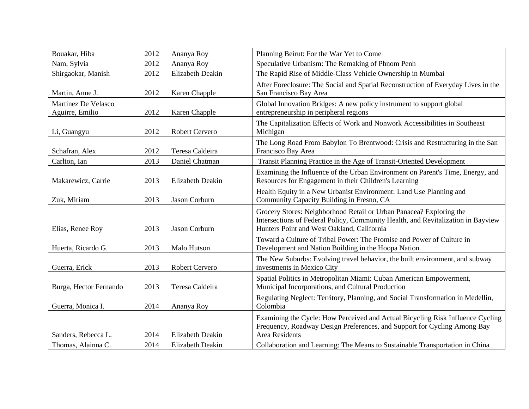| Bouakar, Hiba                          | 2012 | Ananya Roy              | Planning Beirut: For the War Yet to Come                                                                                                                                                              |
|----------------------------------------|------|-------------------------|-------------------------------------------------------------------------------------------------------------------------------------------------------------------------------------------------------|
| Nam, Sylvia                            | 2012 | Ananya Roy              | Speculative Urbanism: The Remaking of Phnom Penh                                                                                                                                                      |
| Shirgaokar, Manish                     | 2012 | <b>Elizabeth Deakin</b> | The Rapid Rise of Middle-Class Vehicle Ownership in Mumbai                                                                                                                                            |
| Martin, Anne J.                        | 2012 | Karen Chapple           | After Foreclosure: The Social and Spatial Reconstruction of Everyday Lives in the<br>San Francisco Bay Area                                                                                           |
| Martinez De Velasco<br>Aguirre, Emilio | 2012 | Karen Chapple           | Global Innovation Bridges: A new policy instrument to support global<br>entrepreneurship in peripheral regions                                                                                        |
| Li, Guangyu                            | 2012 | Robert Cervero          | The Capitalization Effects of Work and Nonwork Accessibilities in Southeast<br>Michigan                                                                                                               |
| Schafran, Alex                         | 2012 | Teresa Caldeira         | The Long Road From Babylon To Brentwood: Crisis and Restructuring in the San<br>Francisco Bay Area                                                                                                    |
| Carlton, Ian                           | 2013 | Daniel Chatman          | Transit Planning Practice in the Age of Transit-Oriented Development                                                                                                                                  |
| Makarewicz, Carrie                     | 2013 | <b>Elizabeth Deakin</b> | Examining the Influence of the Urban Environment on Parent's Time, Energy, and<br>Resources for Engagement in their Children's Learning                                                               |
| Zuk, Miriam                            | 2013 | Jason Corburn           | Health Equity in a New Urbanist Environment: Land Use Planning and<br>Community Capacity Building in Fresno, CA                                                                                       |
| Elias, Renee Roy                       | 2013 | Jason Corburn           | Grocery Stores: Neighborhood Retail or Urban Panacea? Exploring the<br>Intersections of Federal Policy, Community Health, and Revitalization in Bayview<br>Hunters Point and West Oakland, California |
| Huerta, Ricardo G.                     | 2013 | Malo Hutson             | Toward a Culture of Tribal Power: The Promise and Power of Culture in<br>Development and Nation Building in the Hoopa Nation                                                                          |
| Guerra, Erick                          | 2013 | Robert Cervero          | The New Suburbs: Evolving travel behavior, the built environment, and subway<br>investments in Mexico City                                                                                            |
| Burga, Hector Fernando                 | 2013 | Teresa Caldeira         | Spatial Politics in Metropolitan Miami: Cuban American Empowerment,<br>Municipal Incorporations, and Cultural Production                                                                              |
| Guerra, Monica I.                      | 2014 | Ananya Roy              | Regulating Neglect: Territory, Planning, and Social Transformation in Medellin,<br>Colombia                                                                                                           |
| Sanders, Rebecca L.                    | 2014 | <b>Elizabeth Deakin</b> | Examining the Cycle: How Perceived and Actual Bicycling Risk Influence Cycling<br>Frequency, Roadway Design Preferences, and Support for Cycling Among Bay<br><b>Area Residents</b>                   |
| Thomas, Alainna C.                     | 2014 | <b>Elizabeth Deakin</b> | Collaboration and Learning: The Means to Sustainable Transportation in China                                                                                                                          |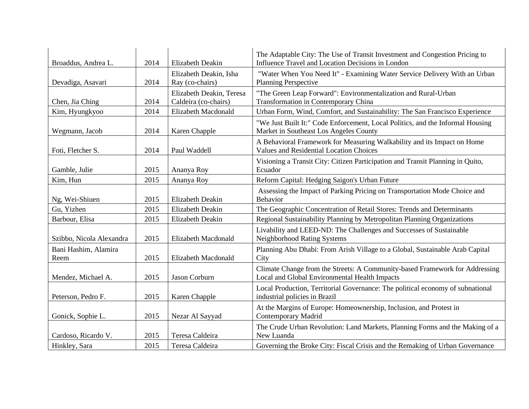| Broaddus, Andrea L.          | 2014 | <b>Elizabeth Deakin</b>                          | The Adaptable City: The Use of Transit Investment and Congestion Pricing to<br>Influence Travel and Location Decisions in London |
|------------------------------|------|--------------------------------------------------|----------------------------------------------------------------------------------------------------------------------------------|
| Devadiga, Asavari            | 2014 | Elizabeth Deakin, Isha<br>Ray (co-chairs)        | "Water When You Need It" - Examining Water Service Delivery With an Urban<br><b>Planning Perspective</b>                         |
| Chen, Jia Ching              | 2014 | Elizabeth Deakin, Teresa<br>Caldeira (co-chairs) | "The Green Leap Forward": Environmentalization and Rural-Urban<br>Transformation in Contemporary China                           |
| Kim, Hyungkyoo               | 2014 | Elizabeth Macdonald                              | Urban Form, Wind, Comfort, and Sustainability: The San Francisco Experience                                                      |
| Wegmann, Jacob               | 2014 | Karen Chapple                                    | "We Just Built It:" Code Enforcement, Local Politics, and the Informal Housing<br>Market in Southeast Los Angeles County         |
| Foti, Fletcher S.            | 2014 | Paul Waddell                                     | A Behavioral Framework for Measuring Walkability and its Impact on Home<br><b>Values and Residential Location Choices</b>        |
| Gamble, Julie                | 2015 | Ananya Roy                                       | Visioning a Transit City: Citizen Participation and Transit Planning in Quito,<br>Ecuador                                        |
| Kim, Hun                     | 2015 | Ananya Roy                                       | Reform Capital: Hedging Saigon's Urban Future                                                                                    |
| Ng, Wei-Shiuen               | 2015 | Elizabeth Deakin                                 | Assessing the Impact of Parking Pricing on Transportation Mode Choice and<br>Behavior                                            |
| Gu, Yizhen                   | 2015 | Elizabeth Deakin                                 | The Geographic Concentration of Retail Stores: Trends and Determinants                                                           |
| Barbour, Elisa               | 2015 | Elizabeth Deakin                                 | Regional Sustainability Planning by Metropolitan Planning Organizations                                                          |
| Szibbo, Nicola Alexandra     | 2015 | Elizabeth Macdonald                              | Livability and LEED-ND: The Challenges and Successes of Sustainable<br><b>Neighborhood Rating Systems</b>                        |
| Bani Hashim, Alamira<br>Reem | 2015 | Elizabeth Macdonald                              | Planning Abu Dhabi: From Arish Village to a Global, Sustainable Arab Capital<br>City                                             |
| Mendez, Michael A.           | 2015 | Jason Corburn                                    | Climate Change from the Streets: A Community-based Framework for Addressing<br>Local and Global Environmental Health Impacts     |
| Peterson, Pedro F.           | 2015 | Karen Chapple                                    | Local Production, Territorial Governance: The political economy of subnational<br>industrial policies in Brazil                  |
| Gonick, Sophie L.            | 2015 | Nezar Al Sayyad                                  | At the Margins of Europe: Homeownership, Inclusion, and Protest in<br><b>Contemporary Madrid</b>                                 |
| Cardoso, Ricardo V.          | 2015 | Teresa Caldeira                                  | The Crude Urban Revolution: Land Markets, Planning Forms and the Making of a<br>New Luanda                                       |
| Hinkley, Sara                | 2015 | Teresa Caldeira                                  | Governing the Broke City: Fiscal Crisis and the Remaking of Urban Governance                                                     |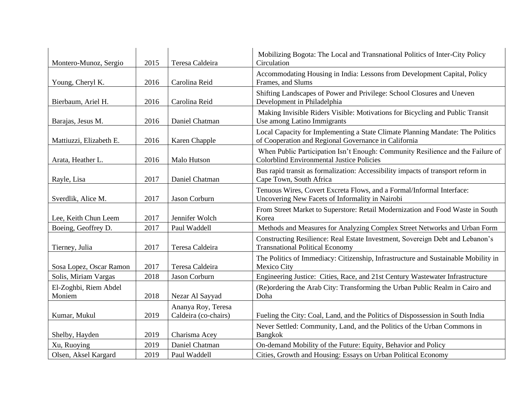| Montero-Munoz, Sergio           | 2015 | Teresa Caldeira                            | Mobilizing Bogota: The Local and Transnational Politics of Inter-City Policy<br>Circulation                                            |
|---------------------------------|------|--------------------------------------------|----------------------------------------------------------------------------------------------------------------------------------------|
| Young, Cheryl K.                | 2016 | Carolina Reid                              | Accommodating Housing in India: Lessons from Development Capital, Policy<br>Frames, and Slums                                          |
| Bierbaum, Ariel H.              | 2016 | Carolina Reid                              | Shifting Landscapes of Power and Privilege: School Closures and Uneven<br>Development in Philadelphia                                  |
| Barajas, Jesus M.               | 2016 | Daniel Chatman                             | Making Invisible Riders Visible: Motivations for Bicycling and Public Transit<br>Use among Latino Immigrants                           |
| Mattiuzzi, Elizabeth E.         | 2016 | Karen Chapple                              | Local Capacity for Implementing a State Climate Planning Mandate: The Politics<br>of Cooperation and Regional Governance in California |
| Arata, Heather L.               | 2016 | Malo Hutson                                | When Public Participation Isn't Enough: Community Resilience and the Failure of<br><b>Colorblind Environmental Justice Policies</b>    |
| Rayle, Lisa                     | 2017 | Daniel Chatman                             | Bus rapid transit as formalization: Accessibility impacts of transport reform in<br>Cape Town, South Africa                            |
| Sverdlik, Alice M.              | 2017 | Jason Corburn                              | Tenuous Wires, Covert Excreta Flows, and a Formal/Informal Interface:<br>Uncovering New Facets of Informality in Nairobi               |
| Lee, Keith Chun Leem            | 2017 | Jennifer Wolch                             | From Street Market to Superstore: Retail Modernization and Food Waste in South<br>Korea                                                |
| Boeing, Geoffrey D.             | 2017 | Paul Waddell                               | Methods and Measures for Analyzing Complex Street Networks and Urban Form                                                              |
| Tierney, Julia                  | 2017 | Teresa Caldeira                            | Constructing Resilience: Real Estate Investment, Sovereign Debt and Lebanon's<br><b>Transnational Political Economy</b>                |
| Sosa Lopez, Oscar Ramon         | 2017 | Teresa Caldeira                            | The Politics of Immediacy: Citizenship, Infrastructure and Sustainable Mobility in<br>Mexico City                                      |
| Solis, Miriam Vargas            | 2018 | Jason Corburn                              | Engineering Justice: Cities, Race, and 21st Century Wastewater Infrastructure                                                          |
| El-Zoghbi, Riem Abdel<br>Moniem | 2018 | Nezar Al Sayyad                            | (Re) ordering the Arab City: Transforming the Urban Public Realm in Cairo and<br>Doha                                                  |
| Kumar, Mukul                    | 2019 | Ananya Roy, Teresa<br>Caldeira (co-chairs) | Fueling the City: Coal, Land, and the Politics of Dispossession in South India                                                         |
| Shelby, Hayden                  | 2019 | Charisma Acey                              | Never Settled: Community, Land, and the Politics of the Urban Commons in<br><b>Bangkok</b>                                             |
| Xu, Ruoying                     | 2019 | Daniel Chatman                             | On-demand Mobility of the Future: Equity, Behavior and Policy                                                                          |
| Olsen, Aksel Kargard            | 2019 | Paul Waddell                               | Cities, Growth and Housing: Essays on Urban Political Economy                                                                          |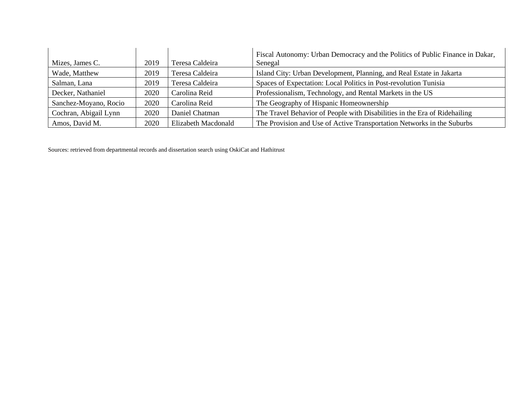| Mizes, James C.       | 2019 | Teresa Caldeira     | Fiscal Autonomy: Urban Democracy and the Politics of Public Finance in Dakar,<br>Senegal |
|-----------------------|------|---------------------|------------------------------------------------------------------------------------------|
| Wade, Matthew         | 2019 | Teresa Caldeira     | Island City: Urban Development, Planning, and Real Estate in Jakarta                     |
| Salman, Lana          | 2019 | Teresa Caldeira     | Spaces of Expectation: Local Politics in Post-revolution Tunisia                         |
| Decker, Nathaniel     | 2020 | Carolina Reid       | Professionalism, Technology, and Rental Markets in the US                                |
| Sanchez-Moyano, Rocio | 2020 | Carolina Reid       | The Geography of Hispanic Homeownership                                                  |
| Cochran, Abigail Lynn | 2020 | Daniel Chatman      | The Travel Behavior of People with Disabilities in the Era of Ridehailing                |
| Amos, David M.        | 2020 | Elizabeth Macdonald | The Provision and Use of Active Transportation Networks in the Suburbs                   |

Sources: retrieved from departmental records and dissertation search using OskiCat and Hathitrust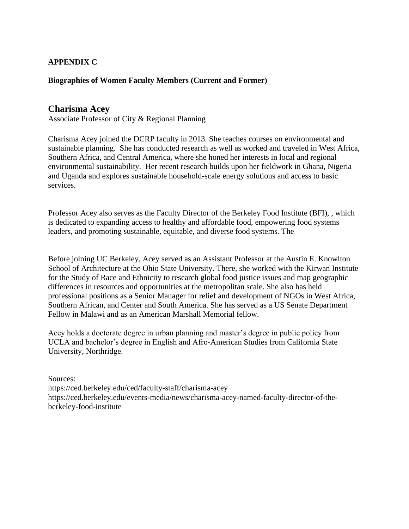## **APPENDIX C**

#### **Biographies of Women Faculty Members (Current and Former)**

#### **Charisma Acey**

Associate Professor of City & Regional Planning

Charisma Acey joined the DCRP faculty in 2013. She teaches courses on environmental and sustainable planning. She has conducted research as well as worked and traveled in West Africa, Southern Africa, and Central America, where she honed her interests in local and regional environmental sustainability. Her recent research builds upon her fieldwork in Ghana, Nigeria and Uganda and explores sustainable household-scale energy solutions and access to basic services.

Professor Acey also serves as the Faculty Director of the Berkeley Food Institute (BFI), , which is dedicated to expanding access to healthy and affordable food, empowering food systems leaders, and promoting sustainable, equitable, and diverse food systems. The

Before joining UC Berkeley, Acey served as an Assistant Professor at the Austin E. Knowlton School of Architecture at the Ohio State University. There, she worked with the Kirwan Institute for the Study of Race and Ethnicity to research global food justice issues and map geographic differences in resources and opportunities at the metropolitan scale. She also has held professional positions as a Senior Manager for relief and development of NGOs in West Africa, Southern African, and Center and South America. She has served as a US Senate Department Fellow in Malawi and as an American Marshall Memorial fellow.

Acey holds a doctorate degree in urban planning and master's degree in public policy from UCLA and bachelor's degree in English and Afro-American Studies from California State University, Northridge.

Sources:

<https://ced.berkeley.edu/ced/faculty-staff/charisma-acey> https://ced.berkeley.edu/events-media/news/charisma-acey-named-faculty-director-of-theberkeley-food-institute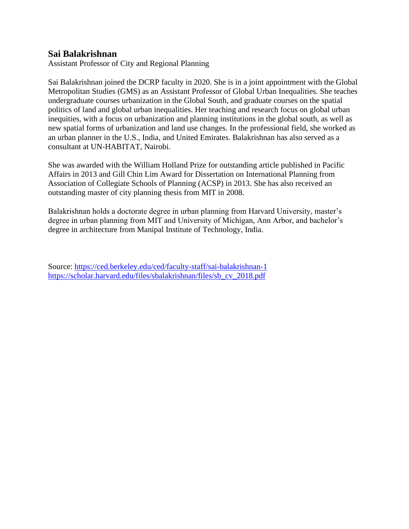## **Sai Balakrishnan**

Assistant Professor of City and Regional Planning

Sai Balakrishnan joined the DCRP faculty in 2020. She is in a joint appointment with the Global Metropolitan Studies (GMS) as an Assistant Professor of Global Urban Inequalities. She teaches undergraduate courses urbanization in the Global South, and graduate courses on the spatial politics of land and global urban inequalities. Her teaching and research focus on global urban inequities, with a focus on urbanization and planning institutions in the global south, as well as new spatial forms of urbanization and land use changes. In the professional field, she worked as an urban planner in the U.S., India, and United Emirates. Balakrishnan has also served as a consultant at UN-HABITAT, Nairobi.

She was awarded with the William Holland Prize for outstanding article published in Pacific Affairs in 2013 and Gill Chin Lim Award for Dissertation on International Planning from Association of Collegiate Schools of Planning (ACSP) in 2013. She has also received an outstanding master of city planning thesis from MIT in 2008.

Balakrishnan holds a doctorate degree in urban planning from Harvard University, master's degree in urban planning from MIT and University of Michigan, Ann Arbor, and bachelor's degree in architecture from Manipal Institute of Technology, India.

Source:<https://ced.berkeley.edu/ced/faculty-staff/sai-balakrishnan-1> [https://scholar.harvard.edu/files/sbalakrishnan/files/sb\\_cv\\_2018.pdf](https://scholar.harvard.edu/files/sbalakrishnan/files/sb_cv_2018.pdf)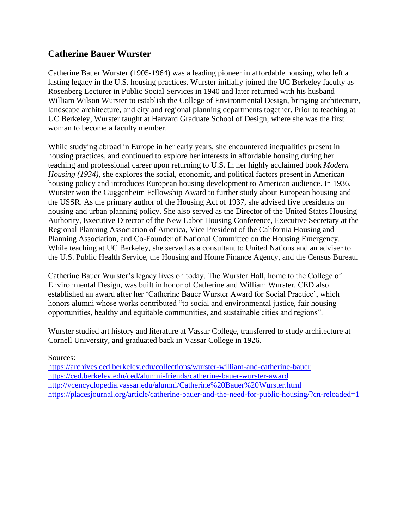# **Catherine Bauer Wurster**

Catherine Bauer Wurster (1905-1964) was a leading pioneer in affordable housing, who left a lasting legacy in the U.S. housing practices. Wurster initially joined the UC Berkeley faculty as Rosenberg Lecturer in Public Social Services in 1940 and later returned with his husband William Wilson Wurster to establish the College of Environmental Design, bringing architecture, landscape architecture, and city and regional planning departments together. Prior to teaching at UC Berkeley, Wurster taught at Harvard Graduate School of Design, where she was the first woman to become a faculty member.

While studying abroad in Europe in her early years, she encountered inequalities present in housing practices, and continued to explore her interests in affordable housing during her teaching and professional career upon returning to U.S. In her highly acclaimed book *Modern Housing (1934),* she explores the social, economic, and political factors present in American housing policy and introduces European housing development to American audience. In 1936, Wurster won the Guggenheim Fellowship Award to further study about European housing and the USSR. As the primary author of the Housing Act of 1937, she advised five presidents on housing and urban planning policy. She also served as the Director of the United States Housing Authority, Executive Director of the New Labor Housing Conference, Executive Secretary at the Regional Planning Association of America, Vice President of the California Housing and Planning Association, and Co-Founder of National Committee on the Housing Emergency. While teaching at UC Berkeley, she served as a consultant to United Nations and an adviser to the U.S. Public Health Service, the Housing and Home Finance Agency, and the Census Bureau.

Catherine Bauer Wurster's legacy lives on today. The Wurster Hall, home to the College of Environmental Design, was built in honor of Catherine and William Wurster. CED also established an award after her 'Catherine Bauer Wurster Award for Social Practice', which honors alumni whose works contributed "to social and environmental justice, fair housing opportunities, healthy and equitable communities, and sustainable cities and regions".

Wurster studied art history and literature at Vassar College, transferred to study architecture at Cornell University, and graduated back in Vassar College in 1926.

#### Sources:

<https://archives.ced.berkeley.edu/collections/wurster-william-and-catherine-bauer> <https://ced.berkeley.edu/ced/alumni-friends/catherine-bauer-wurster-award> <http://vcencyclopedia.vassar.edu/alumni/Catherine%20Bauer%20Wurster.html> <https://placesjournal.org/article/catherine-bauer-and-the-need-for-public-housing/?cn-reloaded=1>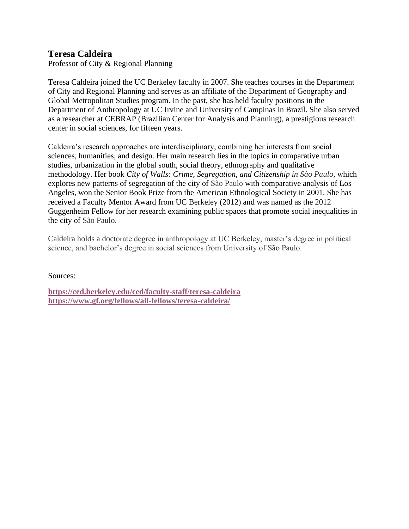# **Teresa Caldeira**

Professor of City & Regional Planning

Teresa Caldeira joined the UC Berkeley faculty in 2007. She teaches courses in the Department of City and Regional Planning and serves as an affiliate of the Department of Geography and Global Metropolitan Studies program. In the past, she has held faculty positions in the Department of Anthropology at UC Irvine and University of Campinas in Brazil. She also served as a researcher at CEBRAP (Brazilian Center for Analysis and Planning), a prestigious research center in social sciences, for fifteen years.

Caldeira's research approaches are interdisciplinary, combining her interests from social sciences, humanities, and design. Her main research lies in the topics in comparative urban studies, urbanization in the global south, social theory, ethnography and qualitative methodology. Her book *City of Walls: Crime, Segregation, and Citizenship in São Paulo,* which explores new patterns of segregation of the city of São Paulo with comparative analysis of Los Angeles, won the Senior Book Prize from the American Ethnological Society in 2001. She has received a Faculty Mentor Award from UC Berkeley (2012) and was named as the 2012 Guggenheim Fellow for her research examining public spaces that promote social inequalities in the city of São Paulo.

Caldeira holds a doctorate degree in anthropology at UC Berkeley, master's degree in political science, and bachelor's degree in social sciences from University of São Paulo.

Sources:

**<https://ced.berkeley.edu/ced/faculty-staff/teresa-caldeira> <https://www.gf.org/fellows/all-fellows/teresa-caldeira/>**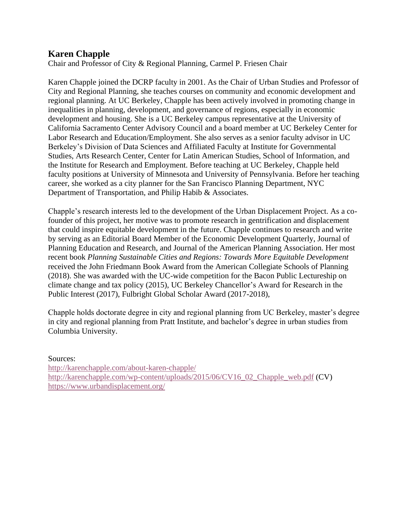# **Karen Chapple**

Chair and Professor of City & Regional Planning, Carmel P. Friesen Chair

Karen Chapple joined the DCRP faculty in 2001. As the Chair of Urban Studies and Professor of City and Regional Planning, she teaches courses on community and economic development and regional planning. At UC Berkeley, Chapple has been actively involved in promoting change in inequalities in planning, development, and governance of regions, especially in economic development and housing. She is a UC Berkeley campus representative at the University of California Sacramento Center Advisory Council and a board member at UC Berkeley Center for Labor Research and Education/Employment. She also serves as a senior faculty advisor in UC Berkeley's Division of Data Sciences and Affiliated Faculty at Institute for Governmental Studies, Arts Research Center, Center for Latin American Studies, School of Information, and the Institute for Research and Employment. Before teaching at UC Berkeley, Chapple held faculty positions at University of Minnesota and University of Pennsylvania. Before her teaching career, she worked as a city planner for the San Francisco Planning Department, NYC Department of Transportation, and Philip Habib & Associates.

Chapple's research interests led to the development of the Urban Displacement Project. As a cofounder of this project, her motive was to promote research in gentrification and displacement that could inspire equitable development in the future. Chapple continues to research and write by serving as an Editorial Board Member of the Economic Development Quarterly, Journal of Planning Education and Research, and Journal of the American Planning Association. Her most recent book *Planning Sustainable Cities and Regions: Towards More Equitable Development*  received the John Friedmann Book Award from the American Collegiate Schools of Planning (2018). She was awarded with the UC-wide competition for the Bacon Public Lectureship on climate change and tax policy (2015), UC Berkeley Chancellor's Award for Research in the Public Interest (2017), Fulbright Global Scholar Award (2017-2018),

Chapple holds doctorate degree in city and regional planning from UC Berkeley, master's degree in city and regional planning from Pratt Institute, and bachelor's degree in urban studies from Columbia University.

Sources[:](http://karenchapple.com/about-karen-chapple/)

<http://karenchapple.com/about-karen-chapple/> [http://karenchapple.com/wp-content/uploads/2015/06/CV16\\_02\\_Chapple\\_web.pdf](http://karenchapple.com/wp-content/uploads/2015/06/CV16_02_Chapple_web.pdf) (CV) <https://www.urbandisplacement.org/>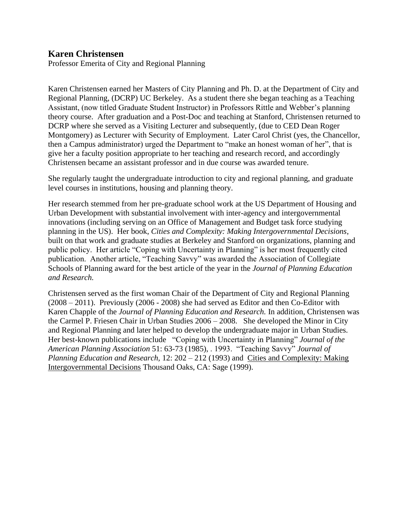## **Karen Christensen**

Professor Emerita of City and Regional Planning

Karen Christensen earned her Masters of City Planning and Ph. D. at the Department of City and Regional Planning, (DCRP) UC Berkeley. As a student there she began teaching as a Teaching Assistant, (now titled Graduate Student Instructor) in Professors Rittle and Webber's planning theory course. After graduation and a Post-Doc and teaching at Stanford, Christensen returned to DCRP where she served as a Visiting Lecturer and subsequently, (due to CED Dean Roger Montgomery) as Lecturer with Security of Employment. Later Carol Christ (yes, the Chancellor, then a Campus administrator) urged the Department to "make an honest woman of her", that is give her a faculty position appropriate to her teaching and research record, and accordingly Christensen became an assistant professor and in due course was awarded tenure.

She regularly taught the undergraduate introduction to city and regional planning, and graduate level courses in institutions, housing and planning theory.

Her research stemmed from her pre-graduate school work at the US Department of Housing and Urban Development with substantial involvement with inter-agency and intergovernmental innovations (including serving on an Office of Management and Budget task force studying planning in the US). Her book, *Cities and Complexity: Making Intergovernmental Decisions*, built on that work and graduate studies at Berkeley and Stanford on organizations, planning and public policy. Her article "Coping with Uncertainty in Planning" is her most frequently cited publication. Another article, "Teaching Savvy" was awarded the Association of Collegiate Schools of Planning award for the best article of the year in the *Journal of Planning Education and Research.*

Christensen served as the first woman Chair of the Department of City and Regional Planning (2008 – 2011). Previously (2006 - 2008) she had served as Editor and then Co-Editor with Karen Chapple of the *Journal of Planning Education and Research.* In addition, Christensen was the Carmel P. Friesen Chair in Urban Studies 2006 – 2008. She developed the Minor in City and Regional Planning and later helped to develop the undergraduate major in Urban Studies. Her best-known publications include "Coping with Uncertainty in Planning" *Journal of the American Planning Association* 51: 63-73 (1985), . 1993. "Teaching Savvy" *Journal of Planning Education and Research,* 12: 202 – 212 (1993) and Cities and Complexity: Making Intergovernmental Decisions Thousand Oaks, CA: Sage (1999).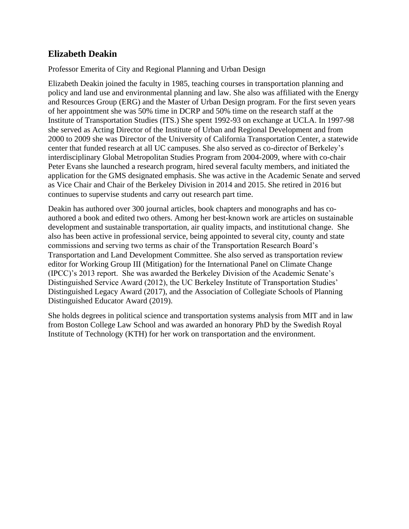# **Elizabeth Deakin**

Professor Emerita of City and Regional Planning and Urban Design

Elizabeth Deakin joined the faculty in 1985, teaching courses in transportation planning and policy and land use and environmental planning and law. She also was affiliated with the Energy and Resources Group (ERG) and the Master of Urban Design program. For the first seven years of her appointment she was 50% time in DCRP and 50% time on the research staff at the Institute of Transportation Studies (ITS.) She spent 1992-93 on exchange at UCLA. In 1997-98 she served as Acting Director of the Institute of Urban and Regional Development and from 2000 to 2009 she was Director of the University of California Transportation Center, a statewide center that funded research at all UC campuses. She also served as co-director of Berkeley's interdisciplinary Global Metropolitan Studies Program from 2004-2009, where with co-chair Peter Evans she launched a research program, hired several faculty members, and initiated the application for the GMS designated emphasis. She was active in the Academic Senate and served as Vice Chair and Chair of the Berkeley Division in 2014 and 2015. She retired in 2016 but continues to supervise students and carry out research part time.

Deakin has authored over 300 journal articles, book chapters and monographs and has coauthored a book and edited two others. Among her best-known work are articles on sustainable development and sustainable transportation, air quality impacts, and institutional change. She also has been active in professional service, being appointed to several city, county and state commissions and serving two terms as chair of the Transportation Research Board's Transportation and Land Development Committee. She also served as transportation review editor for Working Group III (Mitigation) for the International Panel on Climate Change (IPCC)'s 2013 report. She was awarded the Berkeley Division of the Academic Senate's Distinguished Service Award (2012), the UC Berkeley Institute of Transportation Studies' Distinguished Legacy Award (2017), and the Association of Collegiate Schools of Planning Distinguished Educator Award (2019).

She holds degrees in political science and transportation systems analysis from MIT and in law from Boston College Law School and was awarded an honorary PhD by the Swedish Royal Institute of Technology (KTH) for her work on transportation and the environment.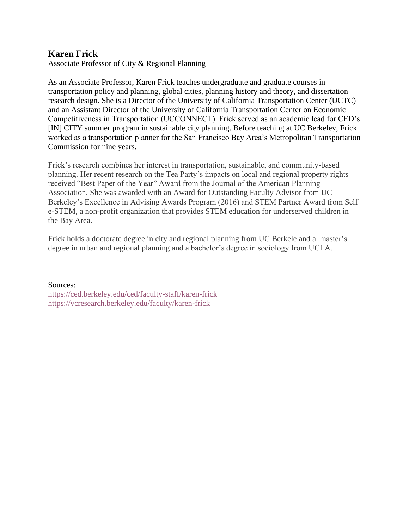# **Karen Frick**

Associate Professor of City & Regional Planning

As an Associate Professor, Karen Frick teaches undergraduate and graduate courses in transportation policy and planning, global cities, planning history and theory, and dissertation research design. She is a Director of the University of California Transportation Center (UCTC) and an Assistant Director of the University of California Transportation Center on Economic Competitiveness in Transportation (UCCONNECT). Frick served as an academic lead for CED's [IN] CITY summer program in sustainable city planning. Before teaching at UC Berkeley, Frick worked as a transportation planner for the San Francisco Bay Area's Metropolitan Transportation Commission for nine years.

Frick's research combines her interest in transportation, sustainable, and community-based planning. Her recent research on the Tea Party's impacts on local and regional property rights received "Best Paper of the Year" Award from the Journal of the American Planning Association. She was awarded with an Award for Outstanding Faculty Advisor from UC Berkeley's Excellence in Advising Awards Program (2016) and STEM Partner Award from Self e-STEM, a non-profit organization that provides STEM education for underserved children in the Bay Area.

Frick holds a doctorate degree in city and regional planning from UC Berkele and a master's degree in urban and regional planning and a bachelor's degree in sociology from UCLA.

Sources: <https://ced.berkeley.edu/ced/faculty-staff/karen-frick> <https://vcresearch.berkeley.edu/faculty/karen-frick>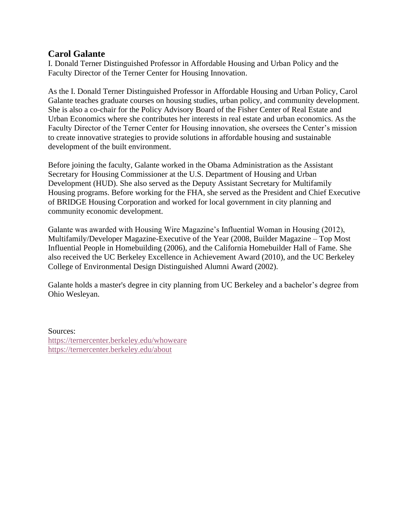# **Carol Galante**

I. Donald Terner Distinguished Professor in Affordable Housing and Urban Policy and the Faculty Director of the [Terner Center for Housing Innovation.](http://ternercenter.berkeley.edu/)

As the I. Donald Terner Distinguished Professor in Affordable Housing and Urban Policy, Carol Galante teaches graduate courses on housing studies, urban policy, and community development. She is also a co-chair for the Policy Advisory Board of the Fisher Center of Real Estate and Urban Economics where she contributes her interests in real estate and urban economics. As the Faculty Director of the Terner Center for Housing innovation, she oversees the Center's mission to create innovative strategies to provide solutions in affordable housing and sustainable development of the built environment.

Before joining the faculty, Galante worked in the Obama Administration as the Assistant Secretary for Housing Commissioner at the U.S. Department of Housing and Urban Development (HUD). She also served as the Deputy Assistant Secretary for Multifamily Housing programs. Before working for the FHA, she served as the President and Chief Executive of BRIDGE Housing Corporation and worked for local government in city planning and community economic development.

Galante was awarded with Housing Wire Magazine's Influential Woman in Housing (2012), Multifamily/Developer Magazine-Executive of the Year (2008, Builder Magazine – Top Most Influential People in Homebuilding (2006), and the California Homebuilder Hall of Fame. She also received the UC Berkeley Excellence in Achievement Award (2010), and the UC Berkeley College of Environmental Design Distinguished Alumni Award (2002).

Galante holds a master's degree in city planning from UC Berkeley and a bachelor's degree from Ohio Wesleyan.

Sources: <https://ternercenter.berkeley.edu/whoweare> <https://ternercenter.berkeley.edu/about>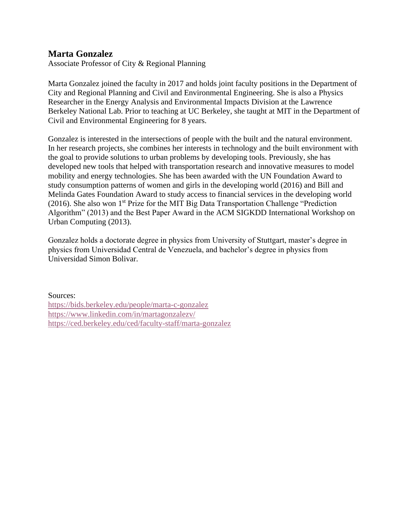## **Marta Gonzalez**

Associate Professor of City & Regional Planning

Marta Gonzalez joined the faculty in 2017 and holds joint faculty positions in the Department of City and Regional Planning and Civil and Environmental Engineering. She is also a Physics Researcher in the Energy Analysis and Environmental Impacts Division at the Lawrence Berkeley National Lab. Prior to teaching at UC Berkeley, she taught at MIT in the Department of Civil and Environmental Engineering for 8 years.

Gonzalez is interested in the intersections of people with the built and the natural environment. In her research projects, she combines her interests in technology and the built environment with the goal to provide solutions to urban problems by developing tools. Previously, she has developed new tools that helped with transportation research and innovative measures to model mobility and energy technologies. She has been awarded with the UN Foundation Award to study consumption patterns of women and girls in the developing world (2016) and Bill and Melinda Gates Foundation Award to study access to financial services in the developing world (2016). She also won  $1^{st}$  Prize for the MIT Big Data Transportation Challenge "Prediction" Algorithm" (2013) and the Best Paper Award in the ACM SIGKDD International Workshop on Urban Computing (2013).

Gonzalez holds a doctorate degree in physics from University of Stuttgart, master's degree in physics from Universidad Central de Venezuela, and bachelor's degree in physics from Universidad Simon Bolivar.

Sources: <https://bids.berkeley.edu/people/marta-c-gonzalez> <https://www.linkedin.com/in/martagonzalezv/> <https://ced.berkeley.edu/ced/faculty-staff/marta-gonzalez>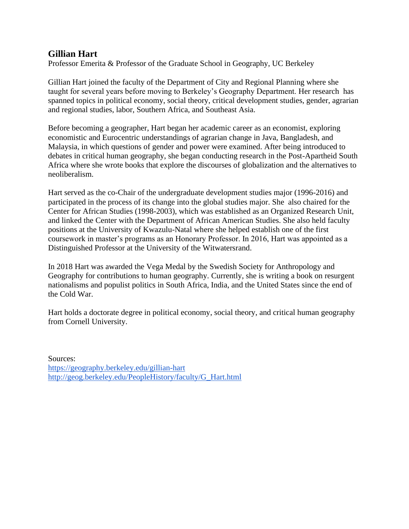# **Gillian Hart**

Professor Emerita & Professor of the Graduate School in Geography, UC Berkeley

Gillian Hart joined the faculty of the Department of City and Regional Planning where she taught for several years before moving to Berkeley's Geography Department. Her research has spanned topics in political economy, social theory, critical development studies, gender, agrarian and regional studies, labor, Southern Africa, and Southeast Asia.

Before becoming a geographer, Hart began her academic career as an economist, exploring economistic and Eurocentric understandings of agrarian change in Java, Bangladesh, and Malaysia, in which questions of gender and power were examined. After being introduced to debates in critical human geography, she began conducting research in the Post-Apartheid South Africa where she wrote books that explore the discourses of globalization and the alternatives to neoliberalism.

Hart served as the co-Chair of the undergraduate development studies major (1996-2016) and participated in the process of its change into the global studies major. She also chaired for the Center for African Studies (1998-2003), which was established as an Organized Research Unit, and linked the Center with the Department of African American Studies. She also held faculty positions at the University of Kwazulu-Natal where she helped establish one of the first coursework in master's programs as an Honorary Professor. In 2016, Hart was appointed as a Distinguished Professor at the University of the Witwatersrand.

In 2018 Hart was awarded the Vega Medal by the Swedish Society for Anthropology and Geography for contributions to human geography. Currently, she is writing a book on resurgent nationalisms and populist politics in South Africa, India, and the United States since the end of the Cold War.

Hart holds a doctorate degree in political economy, social theory, and critical human geography from Cornell University.

Sources: <https://geography.berkeley.edu/gillian-hart> [http://geog.berkeley.edu/PeopleHistory/faculty/G\\_Hart.html](http://geog.berkeley.edu/PeopleHistory/faculty/G_Hart.html)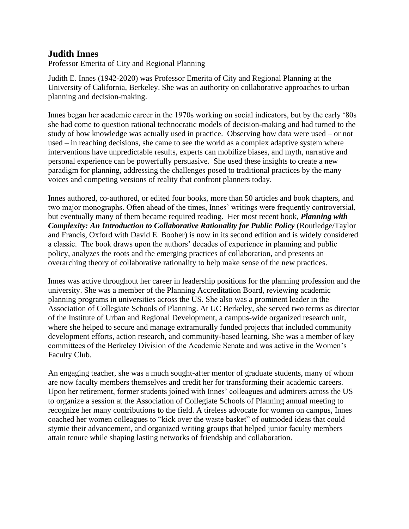# **Judith Innes**

Professor Emerita of City and Regional Planning

Judith E. Innes (1942-2020) was Professor Emerita of City and Regional Planning at the University of California, Berkeley. She was an authority on collaborative approaches to urban planning and decision-making.

Innes began her academic career in the 1970s working on social indicators, but by the early '80s she had come to question rational technocratic models of decision-making and had turned to the study of how knowledge was actually used in practice. Observing how data were used – or not used – in reaching decisions, she came to see the world as a complex adaptive system where interventions have unpredictable results, experts can mobilize biases, and myth, narrative and personal experience can be powerfully persuasive. She used these insights to create a new paradigm for planning, addressing the challenges posed to traditional practices by the many voices and competing versions of reality that confront planners today.

Innes authored, co-authored, or edited four books, more than 50 articles and book chapters, and two major monographs. Often ahead of the times, Innes' writings were frequently controversial, but eventually many of them became required reading. Her most recent book, *Planning with Complexity: An Introduction to Collaborative Rationality for Public Policy* (Routledge/Taylor and Francis, Oxford with David E. Booher) is now in its second edition and is widely considered a classic. The book draws upon the authors' decades of experience in planning and public policy, analyzes the roots and the emerging practices of collaboration, and presents an overarching theory of collaborative rationality to help make sense of the new practices.

Innes was active throughout her career in leadership positions for the planning profession and the university. She was a member of the Planning Accreditation Board, reviewing academic planning programs in universities across the US. She also was a prominent leader in the Association of Collegiate Schools of Planning. At UC Berkeley, she served two terms as director of the Institute of Urban and Regional Development, a campus-wide organized research unit, where she helped to secure and manage extramurally funded projects that included community development efforts, action research, and community-based learning. She was a member of key committees of the Berkeley Division of the Academic Senate and was active in the Women's Faculty Club.

An engaging teacher, she was a much sought-after mentor of graduate students, many of whom are now faculty members themselves and credit her for transforming their academic careers. Upon her retirement, former students joined with Innes' colleagues and admirers across the US to organize a session at the Association of Collegiate Schools of Planning annual meeting to recognize her many contributions to the field. A tireless advocate for women on campus, Innes coached her women colleagues to "kick over the waste basket" of outmoded ideas that could stymie their advancement, and organized writing groups that helped junior faculty members attain tenure while shaping lasting networks of friendship and collaboration.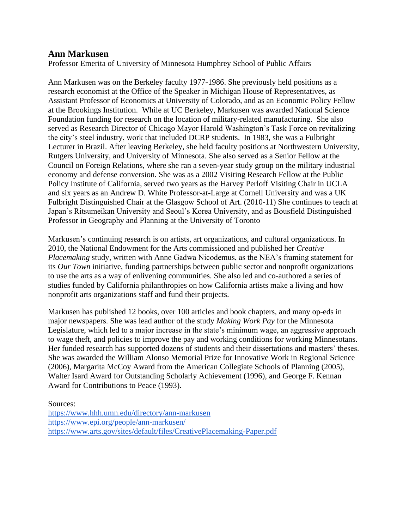## **Ann Markusen**

Professor Emerita of University of Minnesota Humphrey School of Public Affairs

Ann Markusen was on the Berkeley faculty 1977-1986. She previously held positions as a research economist at the Office of the Speaker in Michigan House of Representatives, as Assistant Professor of Economics at University of Colorado, and as an Economic Policy Fellow at the Brookings Institution. While at UC Berkeley, Markusen was awarded National Science Foundation funding for research on the location of military-related manufacturing. She also served as Research Director of Chicago Mayor Harold Washington's Task Force on revitalizing the city's steel industry, work that included DCRP students. In 1983, she was a Fulbright Lecturer in Brazil. After leaving Berkeley, she held faculty positions at Northwestern University, Rutgers University, and University of Minnesota. She also served as a Senior Fellow at the Council on Foreign Relations, where she ran a seven-year study group on the military industrial economy and defense conversion. She was as a 2002 Visiting Research Fellow at the Public Policy Institute of California, served two years as the Harvey Perloff Visiting Chair in UCLA and six years as an Andrew D. White Professor-at-Large at Cornell University and was a UK Fulbright Distinguished Chair at the Glasgow School of Art. (2010-11) She continues to teach at Japan's Ritsumeikan University and Seoul's Korea University, and as Bousfield Distinguished Professor in Geography and Planning at the University of Toronto

Markusen's continuing research is on artists, art organizations, and cultural organizations. In 2010, the National Endowment for the Arts commissioned and published her *Creative Placemaking* study, written with Anne Gadwa Nicodemus, as the NEA's framing statement for its *Our Town* initiative, funding partnerships between public sector and nonprofit organizations to use the arts as a way of enlivening communities. She also led and co-authored a series of studies funded by California philanthropies on how California artists make a living and how nonprofit arts organizations staff and fund their projects.

Markusen has published 12 books, over 100 articles and book chapters, and many op-eds in major newspapers. She was lead author of the study *Making Work Pay* for the Minnesota Legislature, which led to a major increase in the state's minimum wage, an aggressive approach to wage theft, and policies to improve the pay and working conditions for working Minnesotans. Her funded research has supported dozens of students and their dissertations and masters' theses. She was awarded the William Alonso Memorial Prize for Innovative Work in Regional Science (2006), Margarita McCoy Award from the American Collegiate Schools of Planning (2005), Walter Isard Award for Outstanding Scholarly Achievement (1996), and George F. Kennan Award for Contributions to Peace (1993).

Sources:

<https://www.hhh.umn.edu/directory/ann-markusen> <https://www.epi.org/people/ann-markusen/> <https://www.arts.gov/sites/default/files/CreativePlacemaking-Paper.pdf>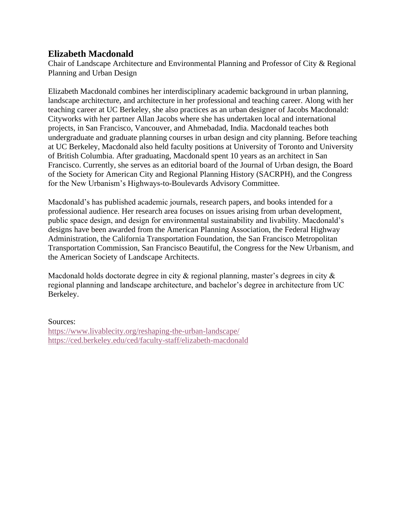## **Elizabeth Macdonald**

Chair of Landscape Architecture and Environmental Planning and Professor of City & Regional Planning and Urban Design

Elizabeth Macdonald combines her interdisciplinary academic background in urban planning, landscape architecture, and architecture in her professional and teaching career. Along with her teaching career at UC Berkeley, she also practices as an urban designer of Jacobs Macdonald: Cityworks with her partner Allan Jacobs where she has undertaken local and international projects, in San Francisco, Vancouver, and Ahmebadad, India. Macdonald teaches both undergraduate and graduate planning courses in urban design and city planning. Before teaching at UC Berkeley, Macdonald also held faculty positions at University of Toronto and University of British Columbia. After graduating, Macdonald spent 10 years as an architect in San Francisco. Currently, she serves as an editorial board of the Journal of Urban design, the Board of the Society for American City and Regional Planning History (SACRPH), and the Congress for the New Urbanism's Highways-to-Boulevards Advisory Committee.

Macdonald's has published academic journals, research papers, and books intended for a professional audience. Her research area focuses on issues arising from urban development, public space design, and design for environmental sustainability and livability. Macdonald's designs have been awarded from the American Planning Association, the Federal Highway Administration, the California Transportation Foundation, the San Francisco Metropolitan Transportation Commission, San Francisco Beautiful, the Congress for the New Urbanism, and the American Society of Landscape Architects.

Macdonald holds doctorate degree in city & regional planning, master's degrees in city & regional planning and landscape architecture, and bachelor's degree in architecture from UC Berkeley.

#### Sources:

<https://www.livablecity.org/reshaping-the-urban-landscape/> <https://ced.berkeley.edu/ced/faculty-staff/elizabeth-macdonald>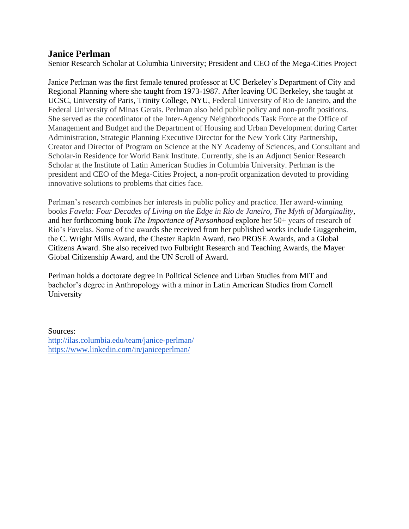## **Janice Perlman**

Senior Research Scholar at Columbia University; President and CEO of the Mega-Cities Project

Janice Perlman was the first female tenured professor at UC Berkeley's Department of City and Regional Planning where she taught from 1973-1987. After leaving UC Berkeley, she taught at UCSC, University of Paris, Trinity College, NYU, Federal University of Rio de Janeiro, and the Federal University of Minas Gerais. Perlman also held public policy and non-profit positions. She served as the coordinator of the Inter-Agency Neighborhoods Task Force at the Office of Management and Budget and the Department of Housing and Urban Development during Carter Administration, Strategic Planning Executive Director for the New York City Partnership, Creator and Director of Program on Science at the NY Academy of Sciences, and Consultant and Scholar-in Residence for World Bank Institute. Currently, she is an Adjunct Senior Research Scholar at the Institute of Latin American Studies in Columbia University. Perlman is the president and CEO of the Mega-Cities Project, a non-profit organization devoted to providing innovative solutions to problems that cities face.

Perlman's research combines her interests in public policy and practice. Her award-winning books *Favela: Four Decades of Living on the Edge in Rio de Janeiro, The Myth of Marginality*, and her forthcoming book *The Importance of Personhood* explore her 50+ years of research of Rio's Favelas. Some of the awards she received from her published works include Guggenheim, the C. Wright Mills Award, the Chester Rapkin Award, two PROSE Awards, and a Global Citizens Award. She also received two Fulbright Research and Teaching Awards, the Mayer Global Citizenship Award, and the UN Scroll of Award.

Perlman holds a doctorate degree in Political Science and Urban Studies from MIT and bachelor's degree in Anthropology with a minor in Latin American Studies from Cornell University

Sources: <http://ilas.columbia.edu/team/janice-perlman/> <https://www.linkedin.com/in/janiceperlman/>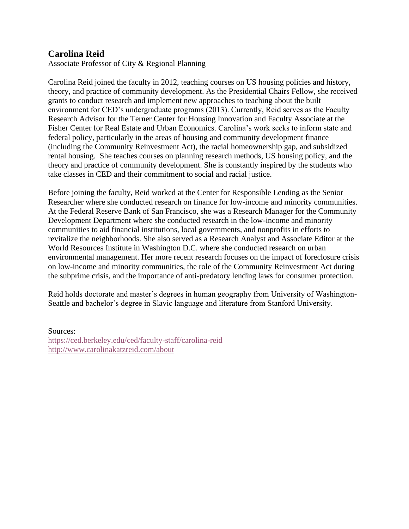# **Carolina Reid**

Associate Professor of City & Regional Planning

Carolina Reid joined the faculty in 2012, teaching courses on US housing policies and history, theory, and practice of community development. As the Presidential Chairs Fellow, she received grants to conduct research and implement new approaches to teaching about the built environment for CED's undergraduate programs (2013). Currently, Reid serves as the Faculty Research Advisor for the Terner Center for Housing Innovation and Faculty Associate at the Fisher Center for Real Estate and Urban Economics. Carolina's work seeks to inform state and federal policy, particularly in the areas of housing and community development finance (including the Community Reinvestment Act), the racial homeownership gap, and subsidized rental housing. She teaches courses on planning research methods, US housing policy, and the theory and practice of community development. She is constantly inspired by the students who take classes in CED and their commitment to social and racial justice.

Before joining the faculty, Reid worked at the Center for Responsible Lending as the Senior Researcher where she conducted research on finance for low-income and minority communities. At the Federal Reserve Bank of San Francisco, she was a Research Manager for the Community Development Department where she conducted research in the low-income and minority communities to aid financial institutions, local governments, and nonprofits in efforts to revitalize the neighborhoods. She also served as a Research Analyst and Associate Editor at the World Resources Institute in Washington D.C. where she conducted research on urban environmental management. Her more recent research focuses on the impact of foreclosure crisis on low-income and minority communities, the role of the Community Reinvestment Act during the subprime crisis, and the importance of anti-predatory lending laws for consumer protection.

Reid holds doctorate and master's degrees in human geography from University of Washington-Seattle and bachelor's degree in Slavic language and literature from Stanford University.

Sources: <https://ced.berkeley.edu/ced/faculty-staff/carolina-reid> <http://www.carolinakatzreid.com/about>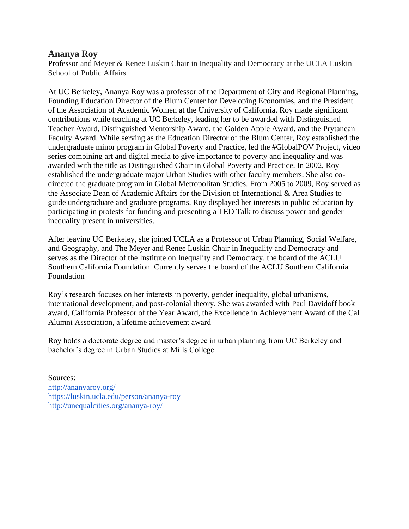## **Ananya Roy**

Professor and Meyer & Renee Luskin Chair in Inequality and Democracy at the UCLA Luskin School of Public Affairs

At UC Berkeley, Ananya Roy was a professor of the Department of City and Regional Planning, Founding Education Director of the Blum Center for Developing Economies, and the President of the Association of Academic Women at the University of California. Roy made significant contributions while teaching at UC Berkeley, leading her to be awarded with Distinguished Teacher Award, Distinguished Mentorship Award, the Golden Apple Award, and the Prytanean Faculty Award. While serving as the Education Director of the Blum Center, Roy established the undergraduate minor program in Global Poverty and Practice, led the #GlobalPOV Project, video series combining art and digital media to give importance to poverty and inequality and was awarded with the title as Distinguished Chair in Global Poverty and Practice. In 2002, Roy established the undergraduate major Urban Studies with other faculty members. She also codirected the graduate program in Global Metropolitan Studies. From 2005 to 2009, Roy served as the Associate Dean of Academic Affairs for the Division of International & Area Studies to guide undergraduate and graduate programs. Roy displayed her interests in public education by participating in protests for funding and presenting a TED Talk to discuss power and gender inequality present in universities.

After leaving UC Berkeley, she joined UCLA as a Professor of Urban Planning, Social Welfare, and Geography, and The Meyer and Renee Luskin Chair in Inequality and Democracy and serves as the Director of the Institute on Inequality and Democracy. the board of the ACLU Southern California Foundation. Currently serves the board of the ACLU Southern California Foundation

Roy's research focuses on her interests in poverty, gender inequality, global urbanisms, international development, and post-colonial theory. She was awarded with Paul Davidoff book award, California Professor of the Year Award, the Excellence in Achievement Award of the Cal Alumni Association, a lifetime achievement award

Roy holds a doctorate degree and master's degree in urban planning from UC Berkeley and bachelor's degree in Urban Studies at Mills College.

Sources: <http://ananyaroy.org/> <https://luskin.ucla.edu/person/ananya-roy> <http://unequalcities.org/ananya-roy/>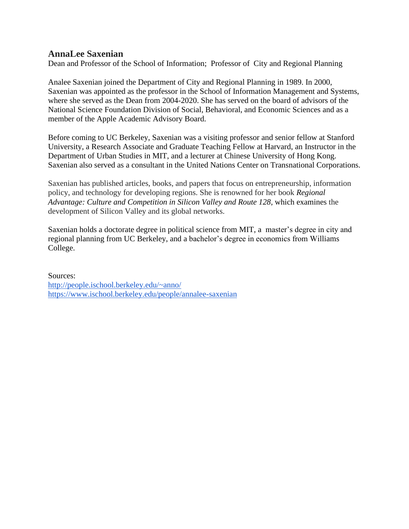## **AnnaLee Saxenian**

Dean and Professor of the [School of Information;](http://ischool.berkeley.edu/) Professor of [City and Regional Planning](http://dcrp.ced.berkeley.edu/)

Analee Saxenian joined the Department of City and Regional Planning in 1989. In 2000, Saxenian was appointed as the professor in the School of Information Management and Systems, where she served as the Dean from 2004-2020. She has served on the board of advisors of the National Science Foundation Division of Social, Behavioral, and Economic Sciences and as a member of the Apple Academic Advisory Board.

Before coming to UC Berkeley, Saxenian was a visiting professor and senior fellow at Stanford University, a Research Associate and Graduate Teaching Fellow at Harvard, an Instructor in the Department of Urban Studies in MIT, and a lecturer at Chinese University of Hong Kong. Saxenian also served as a consultant in the United Nations Center on Transnational Corporations.

Saxenian has published articles, books, and papers that focus on entrepreneurship, information policy, and technology for developing regions. She is renowned for her book *Regional Advantage: Culture and Competition in Silicon Valley and Route 128*, which examines the development of Silicon Valley and its global networks.

Saxenian holds a doctorate degree in political science from MIT, a master's degree in city and regional planning from UC Berkeley, and a bachelor's degree in economics from Williams College.

Sources:

<http://people.ischool.berkeley.edu/~anno/> <https://www.ischool.berkeley.edu/people/annalee-saxenian>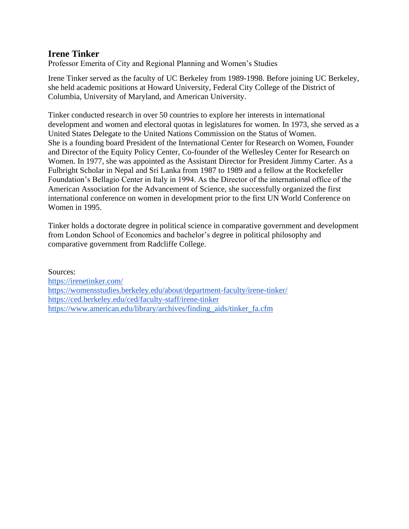# **Irene Tinker**

Professor Emerita of City and Regional Planning and Women's Studies

Irene Tinker served as the faculty of UC Berkeley from 1989-1998. Before joining UC Berkeley, she held academic positions at Howard University, Federal City College of the District of Columbia, University of Maryland, and American University.

Tinker conducted research in over 50 countries to explore her interests in international development and women and electoral quotas in legislatures for women. In 1973, she served as a United States Delegate to the United Nations Commission on the Status of Women. She is a founding board President of the International Center for Research on Women, Founder and Director of the Equity Policy Center, Co-founder of the Wellesley Center for Research on Women. In 1977, she was appointed as the Assistant Director for President Jimmy Carter. As a Fulbright Scholar in Nepal and Sri Lanka from 1987 to 1989 and a fellow at the Rockefeller Foundation's Bellagio Center in Italy in 1994. As the Director of the international office of the American Association for the Advancement of Science, she successfully organized the first international conference on women in development prior to the first UN World Conference on Women in 1995.

Tinker holds a doctorate degree in political science in comparative government and development from London School of Economics and bachelor's degree in political philosophy and comparative government from Radcliffe College.

Sources: <https://irenetinker.com/> <https://womensstudies.berkeley.edu/about/department-faculty/irene-tinker/> <https://ced.berkeley.edu/ced/faculty-staff/irene-tinker> [https://www.american.edu/library/archives/finding\\_aids/tinker\\_fa.cfm](https://www.american.edu/library/archives/finding_aids/tinker_fa.cfm)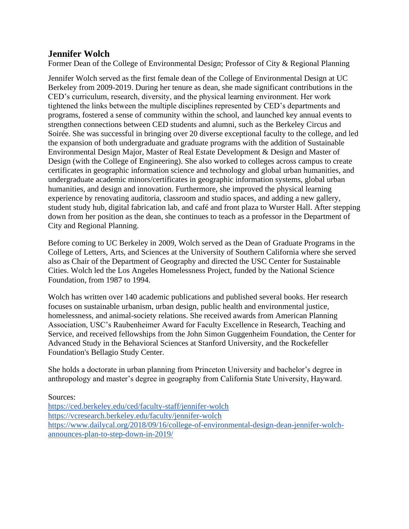# **Jennifer Wolch**

Former Dean of the College of Environmental Design; Professor of City & Regional Planning

Jennifer Wolch served as the first female dean of the College of Environmental Design at UC Berkeley from 2009-2019. During her tenure as dean, she made significant contributions in the CED's curriculum, research, diversity, and the physical learning environment. Her work tightened the links between the multiple disciplines represented by CED's departments and programs, fostered a sense of community within the school, and launched key annual events to strengthen connections between CED students and alumni, such as the Berkeley Circus and Soirée. She was successful in bringing over 20 diverse exceptional faculty to the college, and led the expansion of both undergraduate and graduate programs with the addition of Sustainable Environmental Design Major, Master of Real Estate Development & Design and Master of Design (with the College of Engineering). She also worked to colleges across campus to create certificates in geographic information science and technology and global urban humanities, and undergraduate academic minors/certificates in geographic information systems, global urban humanities, and design and innovation. Furthermore, she improved the physical learning experience by renovating auditoria, classroom and studio spaces, and adding a new gallery, student study hub, digital fabrication lab, and café and front plaza to Wurster Hall. After stepping down from her position as the dean, she continues to teach as a professor in the Department of City and Regional Planning.

Before coming to UC Berkeley in 2009, Wolch served as the Dean of Graduate Programs in the College of Letters, Arts, and Sciences at the University of Southern California where she served also as Chair of the Department of Geography and directed the USC Center for Sustainable Cities. Wolch led the Los Angeles Homelessness Project, funded by the National Science Foundation, from 1987 to 1994.

Wolch has written over 140 academic publications and published several books. Her research focuses on sustainable urbanism, urban design, public health and environmental justice, homelessness, and animal-society relations. She received awards from American Planning Association, USC's Raubenheimer Award for Faculty Excellence in Research, Teaching and Service, and received fellowships from the John Simon Guggenheim Foundation, the Center for Advanced Study in the Behavioral Sciences at Stanford University, and the Rockefeller Foundation's Bellagio Study Center.

She holds a doctorate in urban planning from Princeton University and bachelor's degree in anthropology and master's degree in geography from California State University, Hayward.

Sources:

<https://ced.berkeley.edu/ced/faculty-staff/jennifer-wolch> <https://vcresearch.berkeley.edu/faculty/jennifer-wolch> [https://www.dailycal.org/2018/09/16/college-of-environmental-design-dean-jennifer-wolch](https://www.dailycal.org/2018/09/16/college-of-environmental-design-dean-jennifer-wolch-announces-plan-to-step-down-in-2019/)[announces-plan-to-step-down-in-2019/](https://www.dailycal.org/2018/09/16/college-of-environmental-design-dean-jennifer-wolch-announces-plan-to-step-down-in-2019/)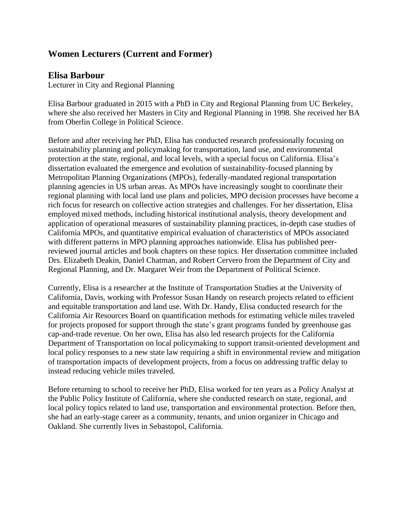# **Women Lecturers (Current and Former)**

# **Elisa Barbour**

Lecturer in City and Regional Planning

Elisa Barbour graduated in 2015 with a PhD in City and Regional Planning from UC Berkeley, where she also received her Masters in City and Regional Planning in 1998. She received her BA from Oberlin College in Political Science.

Before and after receiving her PhD, Elisa has conducted research professionally focusing on sustainability planning and policymaking for transportation, land use, and environmental protection at the state, regional, and local levels, with a special focus on California. Elisa's dissertation evaluated the emergence and evolution of sustainability-focused planning by Metropolitan Planning Organizations (MPOs), federally-mandated regional transportation planning agencies in US urban areas. As MPOs have increasingly sought to coordinate their regional planning with local land use plans and policies, MPO decision processes have become a rich focus for research on collective action strategies and challenges. For her dissertation, Elisa employed mixed methods, including historical institutional analysis, theory development and application of operational measures of sustainability planning practices, in-depth case studies of California MPOs, and quantitative empirical evaluation of characteristics of MPOs associated with different patterns in MPO planning approaches nationwide. Elisa has published peerreviewed journal articles and book chapters on these topics. Her dissertation committee included Drs. Elizabeth Deakin, Daniel Chatman, and Robert Cervero from the Department of City and Regional Planning, and Dr. Margaret Weir from the Department of Political Science.

Currently, Elisa is a researcher at the Institute of Transportation Studies at the University of California, Davis, working with Professor Susan Handy on research projects related to efficient and equitable transportation and land use. With Dr. Handy, Elisa conducted research for the California Air Resources Board on quantification methods for estimating vehicle miles traveled for projects proposed for support through the state's grant programs funded by greenhouse gas cap-and-trade revenue. On her own, Elisa has also led research projects for the California Department of Transportation on local policymaking to support transit-oriented development and local policy responses to a new state law requiring a shift in environmental review and mitigation of transportation impacts of development projects, from a focus on addressing traffic delay to instead reducing vehicle miles traveled.

Before returning to school to receive her PhD, Elisa worked for ten years as a Policy Analyst at the Public Policy Institute of California, where she conducted research on state, regional, and local policy topics related to land use, transportation and environmental protection. Before then, she had an early-stage career as a community, tenants, and union organizer in Chicago and Oakland. She currently lives in Sebastopol, California.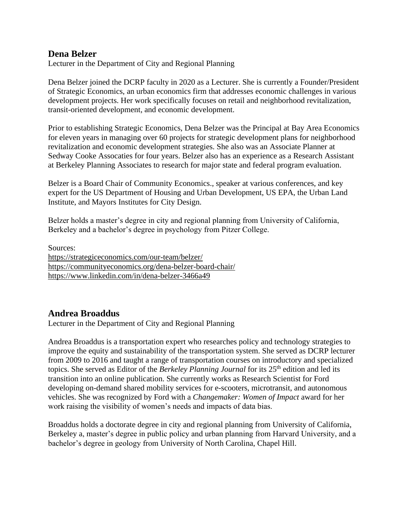## **Dena Belzer**

Lecturer in the Department of City and Regional Planning

Dena Belzer joined the DCRP faculty in 2020 as a Lecturer. She is currently a Founder/President of Strategic Economics, an urban economics firm that addresses economic challenges in various development projects. Her work specifically focuses on retail and neighborhood revitalization, transit-oriented development, and economic development.

Prior to establishing Strategic Economics, Dena Belzer was the Principal at Bay Area Economics for eleven years in managing over 60 projects for strategic development plans for neighborhood revitalization and economic development strategies. She also was an Associate Planner at Sedway Cooke Assocaties for four years. Belzer also has an experience as a Research Assistant at Berkeley Planning Associates to research for major state and federal program evaluation.

Belzer is a Board Chair of Community Economics., speaker at various conferences, and key expert for the US Department of Housing and Urban Development, US EPA, the Urban Land Institute, and Mayors Institutes for City Design.

Belzer holds a master's degree in city and regional planning from University of California, Berkeley and a bachelor's degree in psychology from Pitzer College.

Sources: <https://strategiceconomics.com/our-team/belzer/> <https://communityeconomics.org/dena-belzer-board-chair/> <https://www.linkedin.com/in/dena-belzer-3466a49>

# **Andrea Broaddus**

Lecturer in the Department of City and Regional Planning

Andrea Broaddus is a transportation expert who researches policy and technology strategies to improve the equity and sustainability of the transportation system. She served as DCRP lecturer from 2009 to 2016 and taught a range of transportation courses on introductory and specialized topics. She served as Editor of the *Berkeley Planning Journal* for its 25th edition and led its transition into an online publication. She currently works as Research Scientist for Ford developing on-demand shared mobility services for e-scooters, microtransit, and autonomous vehicles. She was recognized by Ford with a *Changemaker: Women of Impact* award for her work raising the visibility of women's needs and impacts of data bias.

Broaddus holds a doctorate degree in city and regional planning from University of California, Berkeley a, master's degree in public policy and urban planning from Harvard University, and a bachelor's degree in geology from University of North Carolina, Chapel Hill.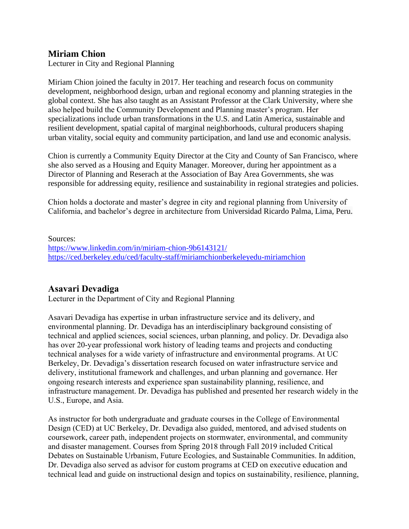# **Miriam Chion**

Lecturer in City and Regional Planning

Miriam Chion joined the faculty in 2017. Her teaching and research focus on community development, neighborhood design, urban and regional economy and planning strategies in the global context. She has also taught as an Assistant Professor at the Clark University, where she also helped build the Community Development and Planning master's program. Her specializations include urban transformations in the U.S. and Latin America, sustainable and resilient development, spatial capital of marginal neighborhoods, cultural producers shaping urban vitality, social equity and community participation, and land use and economic analysis.

Chion is currently a Community Equity Director at the City and County of San Francisco, where she also served as a Housing and Equity Manager. Moreover, during her appointment as a Director of Planning and Reserach at the Association of Bay Area Governments, she was responsible for addressing equity, resilience and sustainability in regional strategies and policies.

Chion holds a doctorate and master's degree in city and regional planning from University of California, and bachelor's degree in architecture from Universidad Ricardo Palma, Lima, Peru.

Sources: <https://www.linkedin.com/in/miriam-chion-9b6143121/> <https://ced.berkeley.edu/ced/faculty-staff/miriamchionberkeleyedu-miriamchion>

## **Asavari Devadiga**

Lecturer in the Department of City and Regional Planning

Asavari Devadiga has expertise in urban infrastructure service and its delivery, and environmental planning. Dr. Devadiga has an interdisciplinary background consisting of technical and applied sciences, social sciences, urban planning, and policy. Dr. Devadiga also has over 20-year professional work history of leading teams and projects and conducting technical analyses for a wide variety of infrastructure and environmental programs. At UC Berkeley, Dr. Devadiga's dissertation research focused on water infrastructure service and delivery, institutional framework and challenges, and urban planning and governance. Her ongoing research interests and experience span sustainability planning, resilience, and infrastructure management. Dr. Devadiga has published and presented her research widely in the U.S., Europe, and Asia.

As instructor for both undergraduate and graduate courses in the College of Environmental Design (CED) at UC Berkeley, Dr. Devadiga also guided, mentored, and advised students on coursework, career path, independent projects on stormwater, environmental, and community and disaster management. Courses from Spring 2018 through Fall 2019 included Critical Debates on Sustainable Urbanism, Future Ecologies, and Sustainable Communities. In addition, Dr. Devadiga also served as advisor for custom programs at CED on executive education and technical lead and guide on instructional design and topics on sustainability, resilience, planning,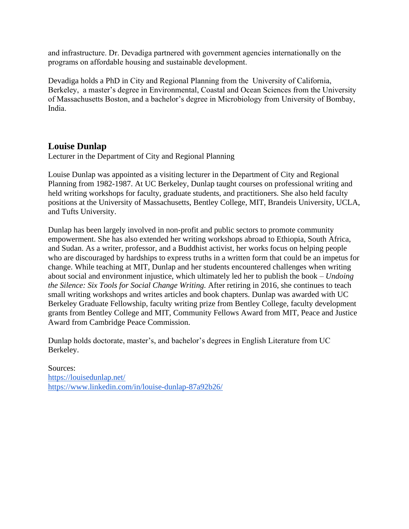and infrastructure. Dr. Devadiga partnered with government agencies internationally on the programs on affordable housing and sustainable development.

Devadiga holds a PhD in City and Regional Planning from the University of California, Berkeley, a master's degree in Environmental, Coastal and Ocean Sciences from the University of Massachusetts Boston, and a bachelor's degree in Microbiology from University of Bombay, India.

# **Louise Dunlap**

Lecturer in the [Department of City and Regional Planning](http://dcrp.ced.berkeley.edu/)

Louise Dunlap was appointed as a visiting lecturer in the Department of City and Regional Planning from 1982-1987. At UC Berkeley, Dunlap taught courses on professional writing and held writing workshops for faculty, graduate students, and practitioners. She also held faculty positions at the University of Massachusetts, Bentley College, MIT, Brandeis University, UCLA, and Tufts University.

Dunlap has been largely involved in non-profit and public sectors to promote community empowerment. She has also extended her writing workshops abroad to Ethiopia, South Africa, and Sudan. As a writer, professor, and a Buddhist activist, her works focus on helping people who are discouraged by hardships to express truths in a written form that could be an impetus for change. While teaching at MIT, Dunlap and her students encountered challenges when writing about social and environment injustice, which ultimately led her to publish the book – *Undoing the Silence: Six Tools for Social Change Writing.* After retiring in 2016, she continues to teach small writing workshops and writes articles and book chapters. Dunlap was awarded with UC Berkeley Graduate Fellowship, faculty writing prize from Bentley College, faculty development grants from Bentley College and MIT, Community Fellows Award from MIT, Peace and Justice Award from Cambridge Peace Commission.

Dunlap holds doctorate, master's, and bachelor's degrees in English Literature from UC Berkeley.

Sources: <https://louisedunlap.net/> <https://www.linkedin.com/in/louise-dunlap-87a92b26/>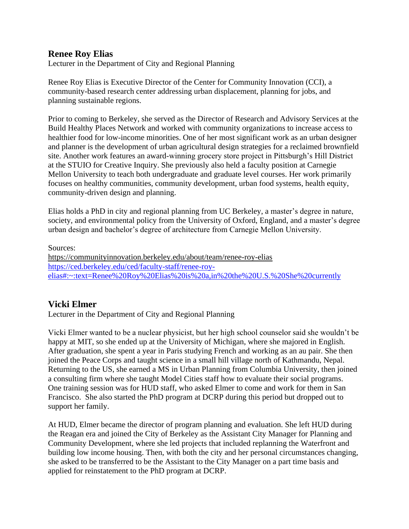# **Renee Roy Elias**

Lecturer in the Department of City and Regional Planning

Renee Roy Elias is Executive Director of the Center for Community Innovation (CCI), a community-based research center addressing urban displacement, planning for jobs, and planning sustainable regions.

Prior to coming to Berkeley, she served as the Director of Research and Advisory Services at the Build Healthy Places Network and worked with community organizations to increase access to healthier food for low-income minorities. One of her most significant work as an urban designer and planner is the development of urban agricultural design strategies for a reclaimed brownfield site. Another work features an award-winning grocery store project in Pittsburgh's Hill District at the STUIO for Creative Inquiry. She previously also held a faculty position at Carnegie Mellon University to teach both undergraduate and graduate level courses. Her work primarily focuses on healthy communities, community development, urban food systems, health equity, community-driven design and planning.

Elias holds a PhD in city and regional planning from UC Berkeley, a master's degree in nature, society, and environmental policy from the University of Oxford, England, and a master's degree urban design and bachelor's degree of architecture from Carnegie Mellon University.

Sources:

<https://communityinnovation.berkeley.edu/about/team/renee-roy-elias> [https://ced.berkeley.edu/ced/faculty-staff/renee-roy](https://ced.berkeley.edu/ced/faculty-staff/renee-roy-elias#:~:text=Renee%20Roy%20Elias%20is%20a,in%20the%20U.S.%20She%20currently)[elias#:~:text=Renee%20Roy%20Elias%20is%20a,in%20the%20U.S.%20She%20currently](https://ced.berkeley.edu/ced/faculty-staff/renee-roy-elias#:~:text=Renee%20Roy%20Elias%20is%20a,in%20the%20U.S.%20She%20currently)

# **Vicki Elmer**

Lecturer in the [Department of City and Regional Planning](http://dcrp.ced.berkeley.edu/)

Vicki Elmer wanted to be a nuclear physicist, but her high school counselor said she wouldn't be happy at MIT, so she ended up at the University of Michigan, where she majored in English. After graduation, she spent a year in Paris studying French and working as an au pair. She then joined the Peace Corps and taught science in a small hill village north of Kathmandu, Nepal. Returning to the US, she earned a MS in Urban Planning from Columbia University, then joined a consulting firm where she taught Model Cities staff how to evaluate their social programs. One training session was for HUD staff, who asked Elmer to come and work for them in San Francisco. She also started the PhD program at DCRP during this period but dropped out to support her family.

At HUD, Elmer became the director of program planning and evaluation. She left HUD during the Reagan era and joined the City of Berkeley as the Assistant City Manager for Planning and Community Development, where she led projects that included replanning the Waterfront and building low income housing. Then, with both the city and her personal circumstances changing, she asked to be transferred to be the Assistant to the City Manager on a part time basis and applied for reinstatement to the PhD program at DCRP.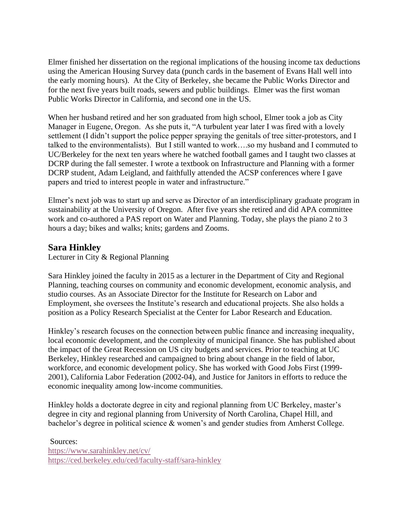Elmer finished her dissertation on the regional implications of the housing income tax deductions using the American Housing Survey data (punch cards in the basement of Evans Hall well into the early morning hours). At the City of Berkeley, she became the Public Works Director and for the next five years built roads, sewers and public buildings. Elmer was the first woman Public Works Director in California, and second one in the US.

When her husband retired and her son graduated from high school, Elmer took a job as City Manager in Eugene, Oregon. As she puts it, "A turbulent year later I was fired with a lovely settlement (I didn't support the police pepper spraying the genitals of tree sitter-protestors, and I talked to the environmentalists). But I still wanted to work….so my husband and I commuted to UC/Berkeley for the next ten years where he watched football games and I taught two classes at DCRP during the fall semester. I wrote a textbook on Infrastructure and Planning with a former DCRP student, Adam Leigland, and faithfully attended the ACSP conferences where I gave papers and tried to interest people in water and infrastructure."

Elmer's next job was to start up and serve as Director of an interdisciplinary graduate program in sustainability at the University of Oregon. After five years she retired and did APA committee work and co-authored a PAS report on Water and Planning. Today, she plays the piano 2 to 3 hours a day; bikes and walks; knits; gardens and Zooms.

# **Sara Hinkley**

Lecturer in City & Regional Planning

Sara Hinkley joined the faculty in 2015 as a lecturer in the Department of City and Regional Planning, teaching courses on community and economic development, economic analysis, and studio courses. As an Associate Director for the Institute for Research on Labor and Employment, she oversees the Institute's research and educational projects. She also holds a position as a Policy Research Specialist at the Center for Labor Research and Education.

Hinkley's research focuses on the connection between public finance and increasing inequality, local economic development, and the complexity of municipal finance. She has published about the impact of the Great Recession on US city budgets and services. Prior to teaching at UC Berkeley, Hinkley researched and campaigned to bring about change in the field of labor, workforce, and economic development policy. She has worked with Good Jobs First (1999- 2001), California Labor Federation (2002-04), and Justice for Janitors in efforts to reduce the economic inequality among low-income communities.

Hinkley holds a doctorate degree in city and regional planning from UC Berkeley, master's degree in city and regional planning from University of North Carolina, Chapel Hill, and bachelor's degree in political science & women's and gender studies from Amherst College.

Sources: <https://www.sarahinkley.net/cv/> <https://ced.berkeley.edu/ced/faculty-staff/sara-hinkley>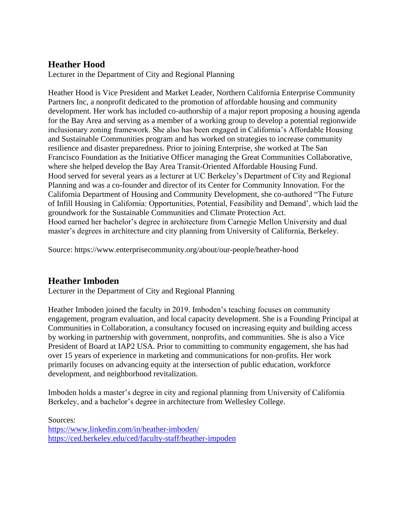# **Heather Hood**

Lecturer in the Department of City and Regional Planning

Heather Hood is Vice President and Market Leader, Northern California Enterprise Community Partners Inc, a nonprofit dedicated to the promotion of affordable housing and community development. Her work has included co-authorship of a major report proposing a housing agenda for the Bay Area and serving as a member of a working group to develop a potential regionwide inclusionary zoning framework. She also has been engaged in California's Affordable Housing and Sustainable Communities program and has worked on strategies to increase community resilience and disaster preparedness. Prior to joining Enterprise, she worked at The San Francisco Foundation as the Initiative Officer managing the Great Communities Collaborative, where she helped develop the Bay Area Transit-Oriented Affordable Housing Fund. Hood served for several years as a lecturer at UC Berkeley's Department of City and Regional Planning and was a co-founder and director of its Center for Community Innovation. For the California Department of Housing and Community Development, she co-authored "The Future of Infill Housing in California: Opportunities, Potential, Feasibility and Demand', which laid the groundwork for the Sustainable Communities and Climate Protection Act. Hood earned her bachelor's degree in architecture from Carnegie Mellon University and dual master's degrees in architecture and city planning from University of California, Berkeley.

Source: https://www.enterprisecommunity.org/about/our-people/heather-hood

# **Heather Imboden**

Lecturer in the Department of City and Regional Planning

Heather Imboden joined the faculty in 2019. Imboden's teaching focuses on community engagement, program evaluation, and local capacity development. She is a Founding Principal at Communities in Collaboration, a consultancy focused on increasing equity and building access by working in partnership with government, nonprofits, and communities. She is also a Vice President of Board at IAP2 USA. Prior to committing to community engagement, she has had over 15 years of experience in marketing and communications for non-profits. Her work primarily focuses on advancing equity at the intersection of public education, workforce development, and neighborhood revitalization.

Imboden holds a master's degree in city and regional planning from University of California Berkeley, and a bachelor's degree in architecture from Wellesley College.

Sources: <https://www.linkedin.com/in/heather-imboden/> <https://ced.berkeley.edu/ced/faculty-staff/heather-impoden>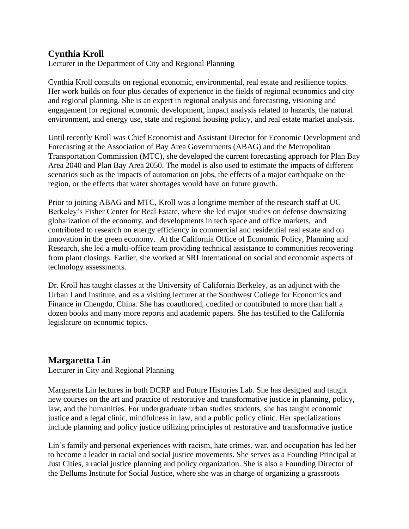# **Cynthia Kroll**

Lecturer in the Department of City and Regional Planning

Cynthia Kroll consults on regional economic, environmental, real estate and resilience topics. Her work builds on four plus decades of experience in the fields of regional economics and city and regional planning. She is an expert in regional analysis and forecasting, visioning and engagement for regional economic development, impact analysis related to hazards, the natural environment, and energy use, state and regional housing policy, and real estate market analysis.

Until recently Kroll was Chief Economist and Assistant Director for Economic Development and Forecasting at the Association of Bay Area Governments (ABAG) and the Metropolitan Transportation Commission (MTC), she developed the current forecasting approach for Plan Bay Area 2040 and Plan Bay Area 2050. The model is also used to estimate the impacts of different scenarios such as the impacts of automation on jobs, the effects of a major earthquake on the region, or the effects that water shortages would have on future growth.

Prior to joining ABAG and MTC, Kroll was a longtime member of the research staff at UC Berkeley's Fisher Center for Real Estate, where she led major studies on defense downsizing globalization of the economy, and developments in tech space and office markets, and contributed to research on energy efficiency in commercial and residential real estate and on innovation in the green economy. At the California Office of Economic Policy, Planning and Research, she led a multi-office team providing technical assistance to communities recovering from plant closings. Earlier, she worked at SRI International on social and economic aspects of technology assessments.

Dr. Kroll has taught classes at the University of California Berkeley, as an adjunct with the Urban Land Institute, and as a visiting lecturer at the Southwest College for Economics and Finance in Chengdu, China. She has coauthored, coedited or contributed to more than half a dozen books and many more reports and academic papers. She has testified to the California legislature on economic topics.

# **Margaretta Lin**

Lecturer in City and Regional Planning

Margaretta Lin lectures in both DCRP and Future Histories Lab. She has designed and taught new courses on the art and practice of restorative and transformative justice in planning, policy, law, and the humanities. For undergraduate urban studies students, she has taught economic justice and a legal clinic, mindfulness in law, and a public policy clinic. Her specializations include planning and policy justice utilizing principles of restorative and transformative justice

Lin's family and personal experiences with racism, hate crimes, war, and occupation has led her to become a leader in racial and social justice movements. She serves as a Founding Principal at Just Cities, a racial justice planning and policy organization. She is also a Founding Director of the Dellums Institute for Social Justice, where she was in charge of organizing a grassroots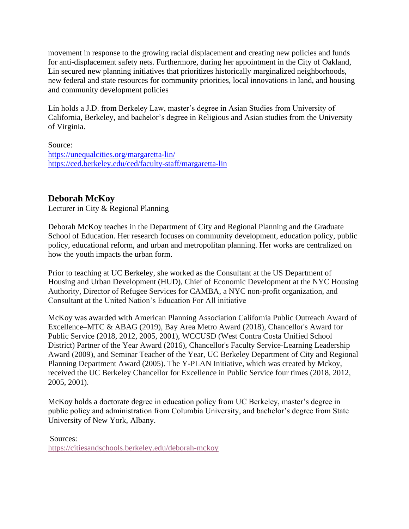movement in response to the growing racial displacement and creating new policies and funds for anti-displacement safety nets. Furthermore, during her appointment in the City of Oakland, Lin secured new planning initiatives that prioritizes historically marginalized neighborhoods, new federal and state resources for community priorities, local innovations in land, and housing and community development policies

Lin holds a J.D. from Berkeley Law, master's degree in Asian Studies from University of California, Berkeley, and bachelor's degree in Religious and Asian studies from the University of Virginia.

#### Source:

<https://unequalcities.org/margaretta-lin/> <https://ced.berkeley.edu/ced/faculty-staff/margaretta-lin>

# **Deborah McKoy**

Lecturer in City & Regional Planning

Deborah McKoy teaches in the Department of City and Regional Planning and the Graduate School of Education. Her research focuses on community development, education policy, public policy, educational reform, and urban and metropolitan planning. Her works are centralized on how the youth impacts the urban form.

Prior to teaching at UC Berkeley, she worked as the Consultant at the US Department of Housing and Urban Development (HUD), Chief of Economic Development at the NYC Housing Authority, Director of Refugee Services for CAMBA, a NYC non-profit organization, and Consultant at the United Nation's Education For All initiative

McKoy was awarded with American Planning Association California Public Outreach Award of Excellence–MTC & ABAG (2019), Bay Area Metro Award (2018), Chancellor's Award for Public Service (2018, 2012, 2005, 2001), WCCUSD (West Contra Costa Unified School District) Partner of the Year Award (2016), Chancellor's Faculty Service-Learning Leadership Award (2009), and Seminar Teacher of the Year, UC Berkeley Department of City and Regional Planning Department Award (2005). The Y-PLAN Initiative, which was created by Mckoy, received the UC Berkeley Chancellor for Excellence in Public Service four times (2018, 2012, 2005, 2001).

McKoy holds a doctorate degree in education policy from UC Berkeley, master's degree in public policy and administration from Columbia University, and bachelor's degree from State University of New York, Albany.

Sources: <https://citiesandschools.berkeley.edu/deborah-mckoy>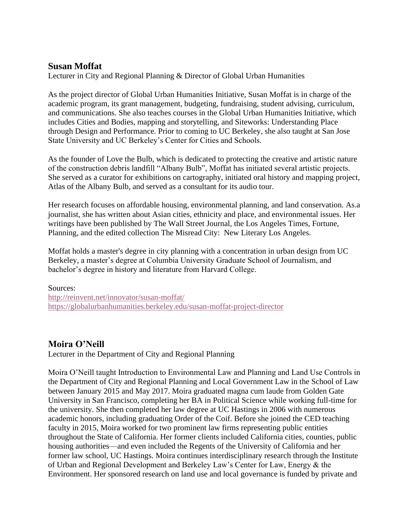## **Susan Moffat**

Lecturer in City and Regional Planning & Director of Global Urban Humanities

As the project director of Global Urban Humanities Initiative, Susan Moffat is in charge of the academic program, its grant management, budgeting, fundraising, student advising, curriculum, and communications. She also teaches courses in the Global Urban Humanities Initiative, which includes Cities and Bodies, mapping and storytelling, and Siteworks: Understanding Place through Design and Performance. Prior to coming to UC Berkeley, she also taught at San Jose State University and UC Berkeley's Center for Cities and Schools.

As the founder of Love the Bulb, which is dedicated to protecting the creative and artistic nature of the construction debris landfill "Albany Bulb", Moffat has initiated several artistic projects. She served as a curator for exhibitions on cartography, initiated oral history and mapping project, Atlas of the Albany Bulb, and served as a consultant for its audio tour.

Her research focuses on affordable housing, environmental planning, and land conservation. As.a journalist, she has written about Asian cities, ethnicity and place, and environmental issues. Her writings have been published by The Wall Street Journal, the Los Angeles Times, Fortune, Planning, and the edited collection The Misread City: New Literary Los Angeles.

Moffat holds a master's degree in city planning with a concentration in urban design from UC Berkeley, a master's degree at Columbia University Graduate School of Journalism, and bachelor's degree in history and literature from Harvard College.

#### Sources:

<http://reinvent.net/innovator/susan-moffat/> <https://globalurbanhumanities.berkeley.edu/susan-moffat-project-director>

## **Moira O'Neill**

Lecturer in the Department of City and Regional Planning

Moira O'Neill taught Introduction to Environmental Law and Planning and Land Use Controls in the Department of City and Regional Planning and Local Government Law in the School of Law between January 2015 and May 2017. Moira graduated magna cum laude from Golden Gate University in San Francisco, completing her BA in Political Science while working full-time for the university. She then completed her law degree at UC Hastings in 2006 with numerous academic honors, including graduating Order of the Coif. Before she joined the CED teaching faculty in 2015, Moira worked for two prominent law firms representing public entities throughout the State of California. Her former clients included California cities, counties, public housing authorities—and even included the Regents of the University of California and her former law school, UC Hastings. Moira continues interdisciplinary research through the Institute of Urban and Regional Development and Berkeley Law's Center for Law, Energy & the Environment. Her sponsored research on land use and local governance is funded by private and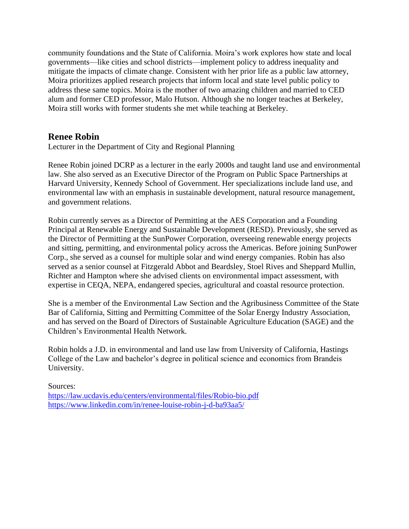community foundations and the State of California. Moira's work explores how state and local governments—like cities and school districts—implement policy to address inequality and mitigate the impacts of climate change. Consistent with her prior life as a public law attorney, Moira prioritizes applied research projects that inform local and state level public policy to address these same topics. Moira is the mother of two amazing children and married to CED alum and former CED professor, Malo Hutson. Although she no longer teaches at Berkeley, Moira still works with former students she met while teaching at Berkeley.

## **Renee Robin**

Lecturer in the Department of City and Regional Planning

Renee Robin joined DCRP as a lecturer in the early 2000s and taught land use and environmental law. She also served as an Executive Director of the Program on Public Space Partnerships at Harvard University, Kennedy School of Government. Her specializations include land use, and environmental law with an emphasis in sustainable development, natural resource management, and government relations.

Robin currently serves as a Director of Permitting at the AES Corporation and a Founding Principal at Renewable Energy and Sustainable Development (RESD). Previously, she served as the Director of Permitting at the SunPower Corporation, overseeing renewable energy projects and sitting, permitting, and environmental policy across the Americas. Before joining SunPower Corp., she served as a counsel for multiple solar and wind energy companies. Robin has also served as a senior counsel at Fitzgerald Abbot and Beardsley, Stoel Rives and Sheppard Mullin, Richter and Hampton where she advised clients on environmental impact assessment, with expertise in CEQA, NEPA, endangered species, agricultural and coastal resource protection.

She is a member of the Environmental Law Section and the Agribusiness Committee of the State Bar of California, Sitting and Permitting Committee of the Solar Energy Industry Association, and has served on the Board of Directors of Sustainable Agriculture Education (SAGE) and the Children's Environmental Health Network.

Robin holds a J.D. in environmental and land use law from University of California, Hastings College of the Law and bachelor's degree in political science and economics from Brandeis University.

Sources: <https://law.ucdavis.edu/centers/environmental/files/Robio-bio.pdf> <https://www.linkedin.com/in/renee-louise-robin-j-d-ba93aa5/>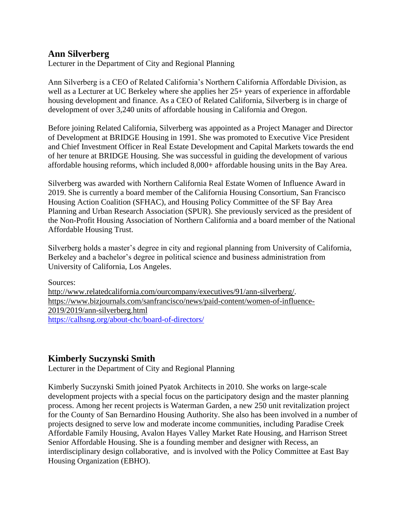# **Ann Silverberg**

Lecturer in the Department of City and Regional Planning

Ann Silverberg is a CEO of Related California's Northern California Affordable Division, as well as a Lecturer at UC Berkeley where she applies her 25+ years of experience in affordable housing development and finance. As a CEO of Related California, Silverberg is in charge of development of over 3,240 units of affordable housing in California and Oregon.

Before joining Related California, Silverberg was appointed as a Project Manager and Director of Development at BRIDGE Housing in 1991. She was promoted to Executive Vice President and Chief Investment Officer in Real Estate Development and Capital Markets towards the end of her tenure at BRIDGE Housing. She was successful in guiding the development of various affordable housing reforms, which included 8,000+ affordable housing units in the Bay Area.

Silverberg was awarded with Northern California Real Estate Women of Influence Award in 2019. She is currently a board member of the California Housing Consortium, San Francisco Housing Action Coalition (SFHAC), and Housing Policy Committee of the SF Bay Area Planning and Urban Research Association (SPUR). She previously serviced as the president of the Non-Profit Housing Association of Northern California and a board member of the National Affordable Housing Trust.

Silverberg holds a master's degree in city and regional planning from University of California, Berkeley and a bachelor's degree in political science and business administration from University of California, Los Angeles.

Sources: [http://www.relatedcalifornia.com/ourcompany/executives/91/ann-silverberg/.](http://www.relatedcalifornia.com/ourcompany/executives/91/ann-silverberg/) [https://www.bizjournals.com/sanfrancisco/news/paid-content/women-of-influence-](https://www.bizjournals.com/sanfrancisco/news/paid-content/women-of-influence-2019/2019/ann-silverberg.html)[2019/2019/ann-silverberg.html](https://www.bizjournals.com/sanfrancisco/news/paid-content/women-of-influence-2019/2019/ann-silverberg.html) <https://calhsng.org/about-chc/board-of-directors/>

# **Kimberly Suczynski Smith**

Lecturer in the Department of City and Regional Planning

Kimberly Suczynski Smith joined Pyatok Architects in 2010. She works on large-scale development projects with a special focus on the participatory design and the master planning process. Among her recent projects is Waterman Garden, a new 250 unit revitalization project for the County of San Bernardino Housing Authority. She also has been involved in a number of projects designed to serve low and moderate income communities, including Paradise Creek Affordable Family Housing, Avalon Hayes Valley Market Rate Housing, and Harrison Street Senior Affordable Housing. She is a founding member and designer with Recess, an interdisciplinary design collaborative, and is involved with the Policy Committee at East Bay Housing Organization (EBHO).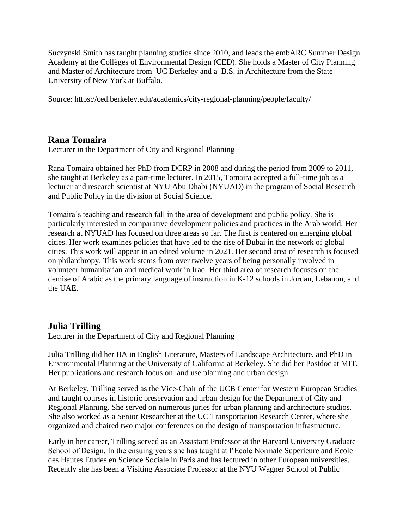Suczynski Smith has taught planning studios since 2010, and leads the embARC Summer Design Academy at the Collèges of Environmental Design (CED). She holds a Master of City Planning and Master of Architecture from UC Berkeley and a B.S. in Architecture from the State University of New York at Buffalo.

Source: https://ced.berkeley.edu/academics/city-regional-planning/people/faculty/

# **Rana Tomaira**

Lecturer in the Department of City and Regional Planning

Rana Tomaira obtained her PhD from DCRP in 2008 and during the period from 2009 to 2011, she taught at Berkeley as a part-time lecturer. In 2015, Tomaira accepted a full-time job as a lecturer and research scientist at NYU Abu Dhabi (NYUAD) in the program of Social Research and Public Policy in the division of Social Science.

Tomaira's teaching and research fall in the area of development and public policy. She is particularly interested in comparative development policies and practices in the Arab world. Her research at NYUAD has focused on three areas so far. The first is centered on emerging global cities. Her work examines policies that have led to the rise of Dubai in the network of global cities. This work will appear in an edited volume in 2021. Her second area of research is focused on philanthropy. This work stems from over twelve years of being personally involved in volunteer humanitarian and medical work in Iraq. Her third area of research focuses on the demise of Arabic as the primary language of instruction in K-12 schools in Jordan, Lebanon, and the UAE.

# **Julia Trilling**

Lecturer in the Department of City and Regional Planning

Julia Trilling did her BA in English Literature, Masters of Landscape Architecture, and PhD in Environmental Planning at the University of California at Berkeley. She did her Postdoc at MIT. Her publications and research focus on land use planning and urban design.

At Berkeley, Trilling served as the Vice-Chair of the UCB Center for Western European Studies and taught courses in historic preservation and urban design for the Department of City and Regional Planning. She served on numerous juries for urban planning and architecture studios. She also worked as a Senior Researcher at the UC Transportation Research Center, where she organized and chaired two major conferences on the design of transportation infrastructure.

Early in her career, Trilling served as an Assistant Professor at the Harvard University Graduate School of Design. In the ensuing years she has taught at l'Ecole Normale Superieure and Ecole des Hautes Etudes en Science Sociale in Paris and has lectured in other European universities. Recently she has been a Visiting Associate Professor at the NYU Wagner School of Public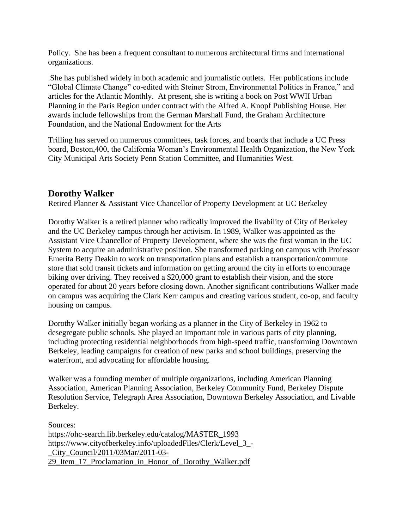Policy. She has been a frequent consultant to numerous architectural firms and international organizations.

.She has published widely in both academic and journalistic outlets. Her publications include "Global Climate Change" co-edited with Steiner Strom, Environmental Politics in France," and articles for the Atlantic Monthly. At present, she is writing a book on Post WWII Urban Planning in the Paris Region under contract with the Alfred A. Knopf Publishing House. Her awards include fellowships from the German Marshall Fund, the Graham Architecture Foundation, and the National Endowment for the Arts

Trilling has served on numerous committees, task forces, and boards that include a UC Press board, Boston,400, the California Woman's Environmental Health Organization, the New York City Municipal Arts Society Penn Station Committee, and Humanities West.

# **Dorothy Walker**

Retired Planner & Assistant Vice Chancellor of Property Development at UC Berkeley

Dorothy Walker is a retired planner who radically improved the livability of City of Berkeley and the UC Berkeley campus through her activism. In 1989, Walker was appointed as the Assistant Vice Chancellor of Property Development, where she was the first woman in the UC System to acquire an administrative position. She transformed parking on campus with Professor Emerita Betty Deakin to work on transportation plans and establish a transportation/commute store that sold transit tickets and information on getting around the city in efforts to encourage biking over driving. They received a \$20,000 grant to establish their vision, and the store operated for about 20 years before closing down. Another significant contributions Walker made on campus was acquiring the Clark Kerr campus and creating various student, co-op, and faculty housing on campus.

Dorothy Walker initially began working as a planner in the City of Berkeley in 1962 to desegregate public schools. She played an important role in various parts of city planning, including protecting residential neighborhoods from high-speed traffic, transforming Downtown Berkeley, leading campaigns for creation of new parks and school buildings, preserving the waterfront, and advocating for affordable housing.

Walker was a founding member of multiple organizations, including American Planning Association, American Planning Association, Berkeley Community Fund, Berkeley Dispute Resolution Service, Telegraph Area Association, Downtown Berkeley Association, and Livable Berkeley.

Sources: [https://ohc-search.lib.berkeley.edu/catalog/MASTER\\_1993](https://ohc-search.lib.berkeley.edu/catalog/MASTER_1993) [https://www.cityofberkeley.info/uploadedFiles/Clerk/Level\\_3\\_-](https://www.cityofberkeley.info/uploadedFiles/Clerk/Level_3_-_City_Council/2011/03Mar/2011-03-29_Item_17_Proclamation_in_Honor_of_Dorothy_Walker.pdf) [\\_City\\_Council/2011/03Mar/2011-03-](https://www.cityofberkeley.info/uploadedFiles/Clerk/Level_3_-_City_Council/2011/03Mar/2011-03-29_Item_17_Proclamation_in_Honor_of_Dorothy_Walker.pdf) 29 Item 17 Proclamation in Honor of Dorothy Walker.pdf